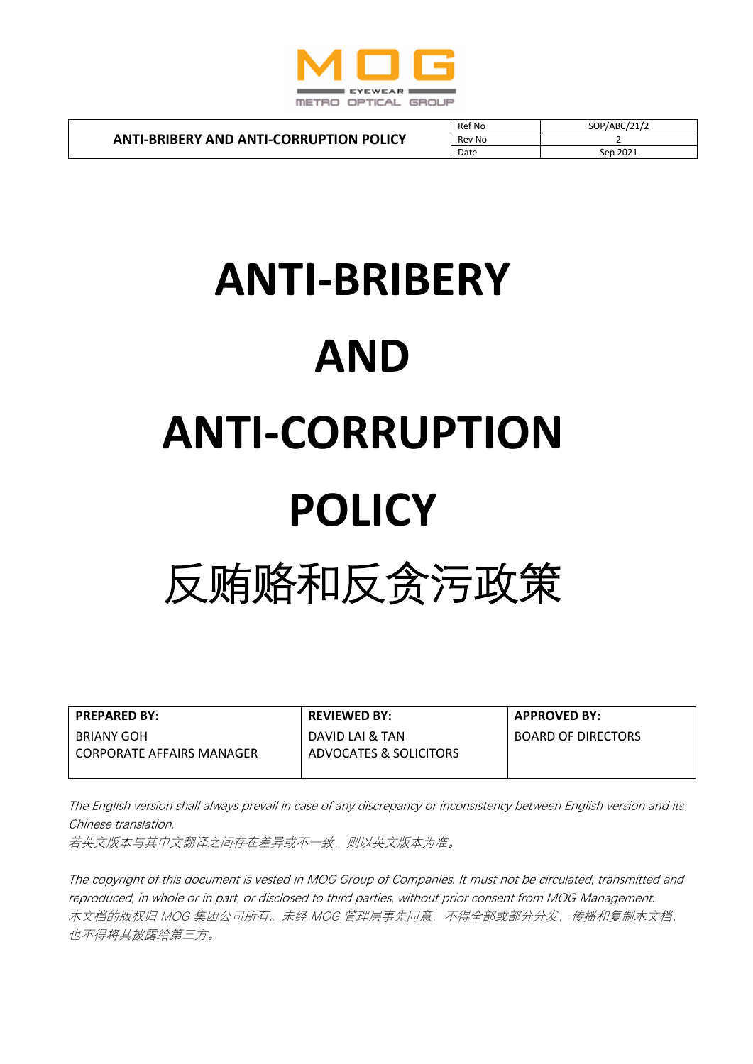

**ANTI-BRIBERY AND ANTI-CORRUPTION POLICY**

| Ref No | SOP/ABC/21/2 |
|--------|--------------|
| Rev No |              |
| Date   | Sep 2021     |

# **ANTI-BRIBERY AND ANTI-CORRUPTION POLICY** 反贿赂和反贪污政策

| <b>PREPARED BY:</b>         | <b>REVIEWED BY:</b>    | <b>APPROVED BY:</b>       |
|-----------------------------|------------------------|---------------------------|
| BRIANY GOH                  | DAVID LAI & TAN        | <b>BOARD OF DIRECTORS</b> |
| l CORPORATE AFFAIRS MANAGER | ADVOCATES & SOLICITORS |                           |
|                             |                        |                           |

The English version shall always prevail in case of any discrepancy or inconsistency between English version and its Chinese translation.

若英文版本与其中文翻译之间存在差异或不一致,则以英文版本为准。

The copyright of this document is vested in MOG Group of Companies. It must not be circulated, transmitted and reproduced, in whole or in part, or disclosed to third parties, without prior consent from MOG Management. 本文档的版权归 MOG 集团公司所有。未经 MOG 管理层事先同意,不得全部或部分分发,传播和复制本文档, 也不得将其披露给第三方。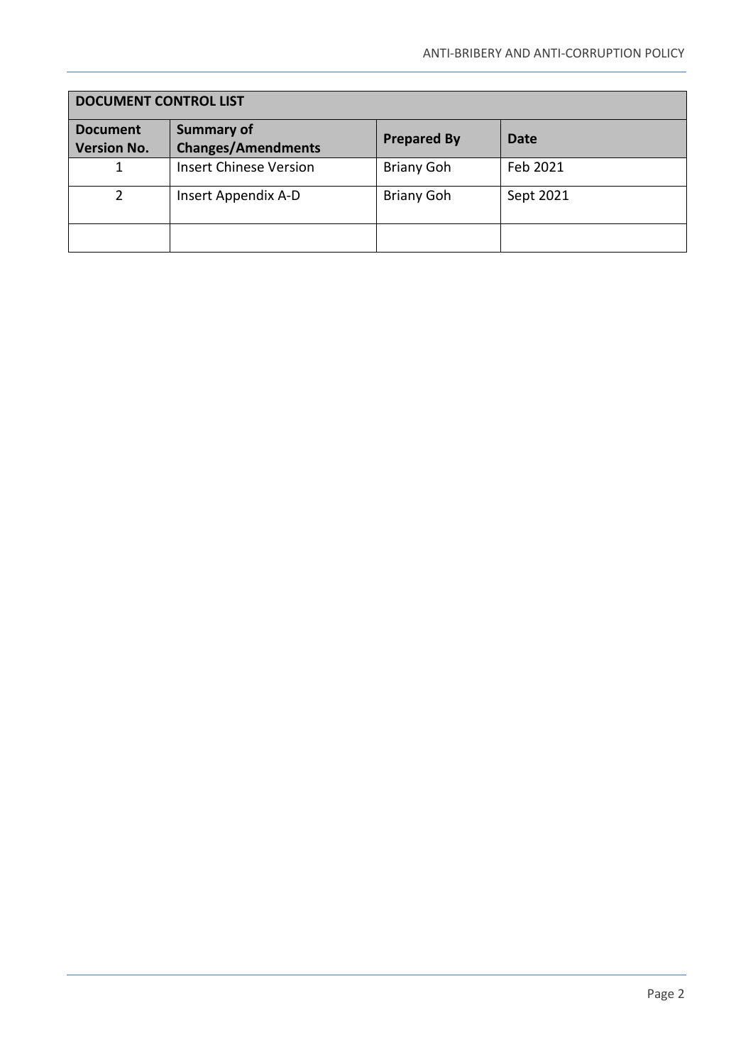| <b>DOCUMENT CONTROL LIST</b>          |                                                |                    |             |  |  |
|---------------------------------------|------------------------------------------------|--------------------|-------------|--|--|
| <b>Document</b><br><b>Version No.</b> | <b>Summary of</b><br><b>Changes/Amendments</b> | <b>Prepared By</b> | <b>Date</b> |  |  |
|                                       | <b>Insert Chinese Version</b>                  | <b>Briany Goh</b>  | Feb 2021    |  |  |
| C                                     | Insert Appendix A-D                            | <b>Briany Goh</b>  | Sept 2021   |  |  |
|                                       |                                                |                    |             |  |  |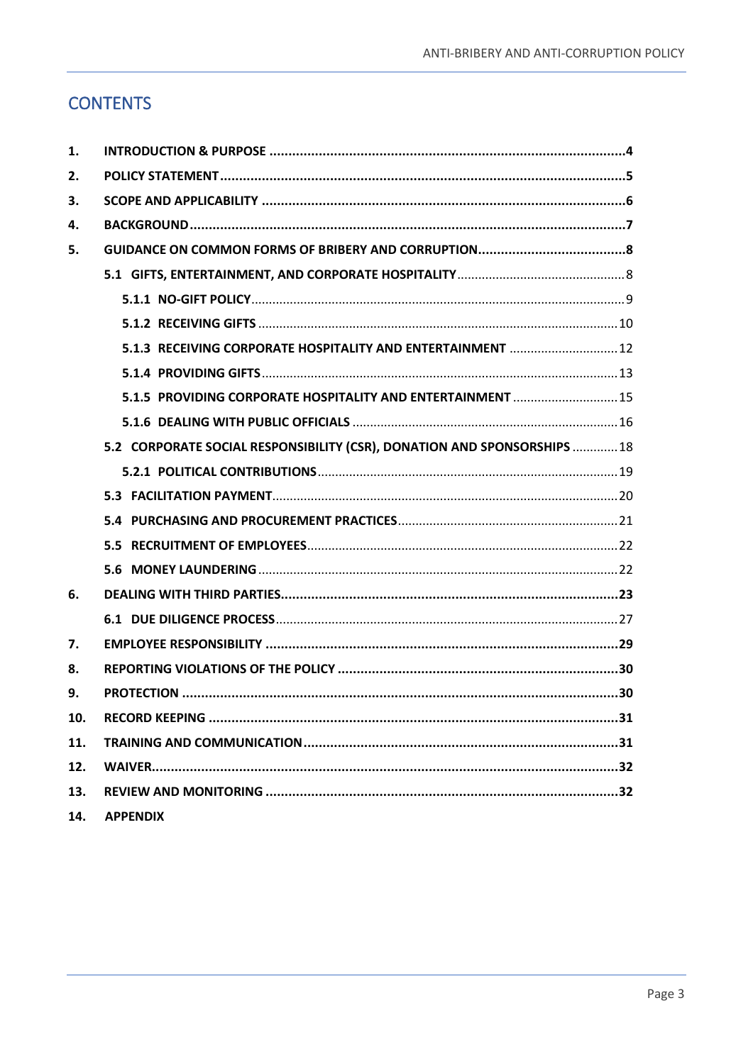# **CONTENTS**

| 1.  |                                                                          |  |
|-----|--------------------------------------------------------------------------|--|
| 2.  |                                                                          |  |
| 3.  |                                                                          |  |
| 4.  |                                                                          |  |
| 5.  |                                                                          |  |
|     |                                                                          |  |
|     |                                                                          |  |
|     |                                                                          |  |
|     | 5.1.3 RECEIVING CORPORATE HOSPITALITY AND ENTERTAINMENT  12              |  |
|     |                                                                          |  |
|     | 5.1.5 PROVIDING CORPORATE HOSPITALITY AND ENTERTAINMENT  15              |  |
|     |                                                                          |  |
|     | 5.2 CORPORATE SOCIAL RESPONSIBILITY (CSR), DONATION AND SPONSORSHIPS  18 |  |
|     |                                                                          |  |
|     |                                                                          |  |
|     |                                                                          |  |
|     |                                                                          |  |
|     |                                                                          |  |
| 6.  |                                                                          |  |
|     |                                                                          |  |
| 7.  |                                                                          |  |
| 8.  |                                                                          |  |
| 9.  |                                                                          |  |
| 10. |                                                                          |  |
| 11. |                                                                          |  |
| 12. |                                                                          |  |
| 13. |                                                                          |  |
| 14. | <b>APPENDIX</b>                                                          |  |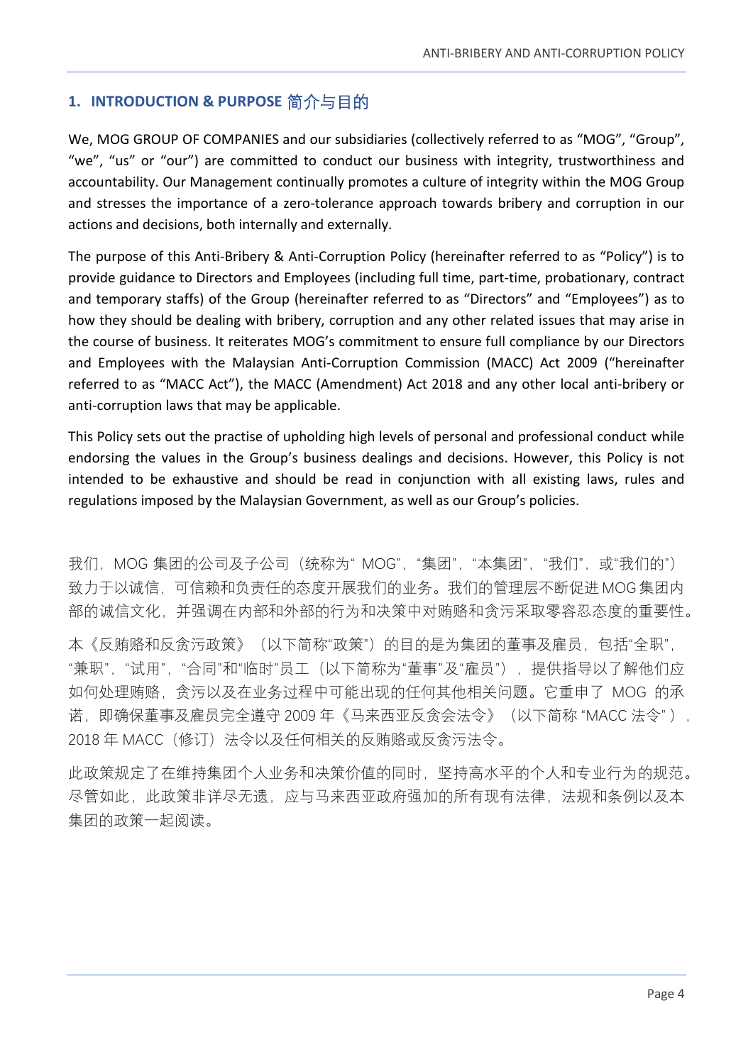# <span id="page-3-0"></span>**1. INTRODUCTION & PURPOSE** 简介与目的

We, MOG GROUP OF COMPANIES and our subsidiaries (collectively referred to as "MOG", "Group", "we", "us" or "our") are committed to conduct our business with integrity, trustworthiness and accountability. Our Management continually promotes a culture of integrity within the MOG Group and stresses the importance of a zero-tolerance approach towards bribery and corruption in our actions and decisions, both internally and externally.

The purpose of this Anti-Bribery & Anti-Corruption Policy (hereinafter referred to as "Policy") is to provide guidance to Directors and Employees (including full time, part-time, probationary, contract and temporary staffs) of the Group (hereinafter referred to as "Directors" and "Employees") as to how they should be dealing with bribery, corruption and any other related issues that may arise in the course of business. It reiterates MOG's commitment to ensure full compliance by our Directors and Employees with the Malaysian Anti-Corruption Commission (MACC) Act 2009 ("hereinafter referred to as "MACC Act"), the MACC (Amendment) Act 2018 and any other local anti-bribery or anti-corruption laws that may be applicable.

This Policy sets out the practise of upholding high levels of personal and professional conduct while endorsing the values in the Group's business dealings and decisions. However, this Policy is not intended to be exhaustive and should be read in conjunction with all existing laws, rules and regulations imposed by the Malaysian Government, as well as our Group's policies.

我们, MOG 集团的公司及子公司 (统称为" MOG", "集团", "本集团", "我们", 或"我们的") 致力于以诚信,可信赖和负责任的态度开展我们的业务。我们的管理层不断促进 MOG 集团内 部的诚信文化,并强调在内部和外部的行为和决策中对贿赂和贪污采取零容忍态度的重要性。

本《反贿赂和反贪污政策》(以下简称"政策")的目的是为集团的董事及雇员,包括"全职", "兼职","试用","合同"和"临时"员工(以下简称为"董事"及"雇员"),提供指导以了解他们应 如何处理贿赂,贪污以及在业务过程中可能出现的任何其他相关问题。它重申了 MOG 的承 诺, 即确保董事及雇员完全遵守 2009 年《马来西亚反贪会法令》 (以下简称 "MACC 法令"), 2018 年 MACC(修订)法令以及任何相关的反贿赂或反贪污法令。

此政策规定了在维持集团个人业务和决策价值的同时,坚持高水平的个人和专业行为的规范。 尽管如此,此政策非详尽无遗,应与马来西亚政府强加的所有现有法律,法规和条例以及本 集团的政策一起阅读。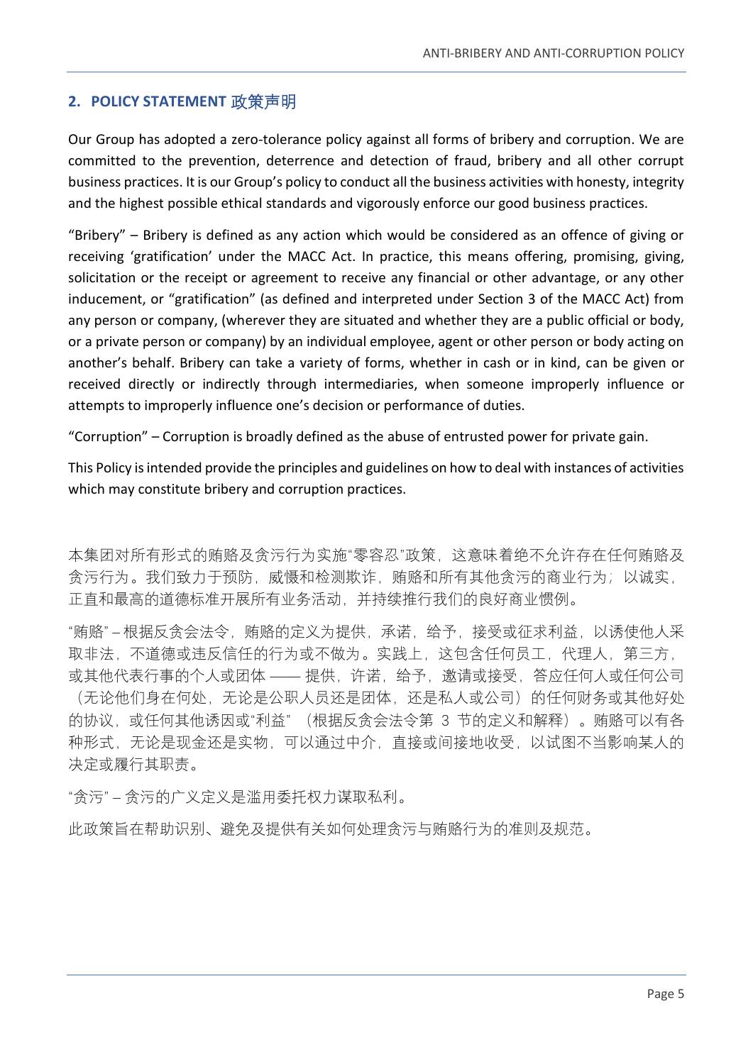### <span id="page-4-0"></span>**2. POLICY STATEMENT** 政策声明

Our Group has adopted a zero-tolerance policy against all forms of bribery and corruption. We are committed to the prevention, deterrence and detection of fraud, bribery and all other corrupt business practices. It is our Group's policy to conduct all the business activities with honesty, integrity and the highest possible ethical standards and vigorously enforce our good business practices.

"Bribery" – Bribery is defined as any action which would be considered as an offence of giving or receiving 'gratification' under the MACC Act. In practice, this means offering, promising, giving, solicitation or the receipt or agreement to receive any financial or other advantage, or any other inducement, or "gratification" (as defined and interpreted under Section 3 of the MACC Act) from any person or company, (wherever they are situated and whether they are a public official or body, or a private person or company) by an individual employee, agent or other person or body acting on another's behalf. Bribery can take a variety of forms, whether in cash or in kind, can be given or received directly or indirectly through intermediaries, when someone improperly influence or attempts to improperly influence one's decision or performance of duties.

"Corruption" – Corruption is broadly defined as the abuse of entrusted power for private gain.

This Policy is intended provide the principles and guidelines on how to deal with instances of activities which may constitute bribery and corruption practices.

本集团对所有形式的贿赂及贪污行为实施"零容忍"政策,这意味着绝不允许存在任何贿赂及 贪污行为。我们致力于预防,威慑和检测欺诈,贿赂和所有其他贪污的商业行为;以诚实, 正直和最高的道德标准开展所有业务活动,并持续推行我们的良好商业惯例。

"贿赂" – 根据反贪会法令,贿赂的定义为提供,承诺,给予,接受或征求利益,以诱使他人采 取非法,不道德或违反信任的行为或不做为。实践上,这包含任何员工,代理人,第三方, 或其他代表行事的个人或团体 —— 提供,许诺,给予,邀请或接受,答应任何人或任何公司 (无论他们身在何处,无论是公职人员还是团体,还是私人或公司)的任何财务或其他好处 的协议,或任何其他诱因或"利益" (根据反贪会法令第 3 节的定义和解释)。贿赂可以有各 种形式,无论是现金还是实物,可以通过中介,直接或间接地收受,以试图不当影响某人的 决定或履行其职责。

"贪污" – 贪污的广义定义是滥用委托权力谋取私利。

此政策旨在帮助识别、避免及提供有关如何处理贪污与贿赂行为的准则及规范。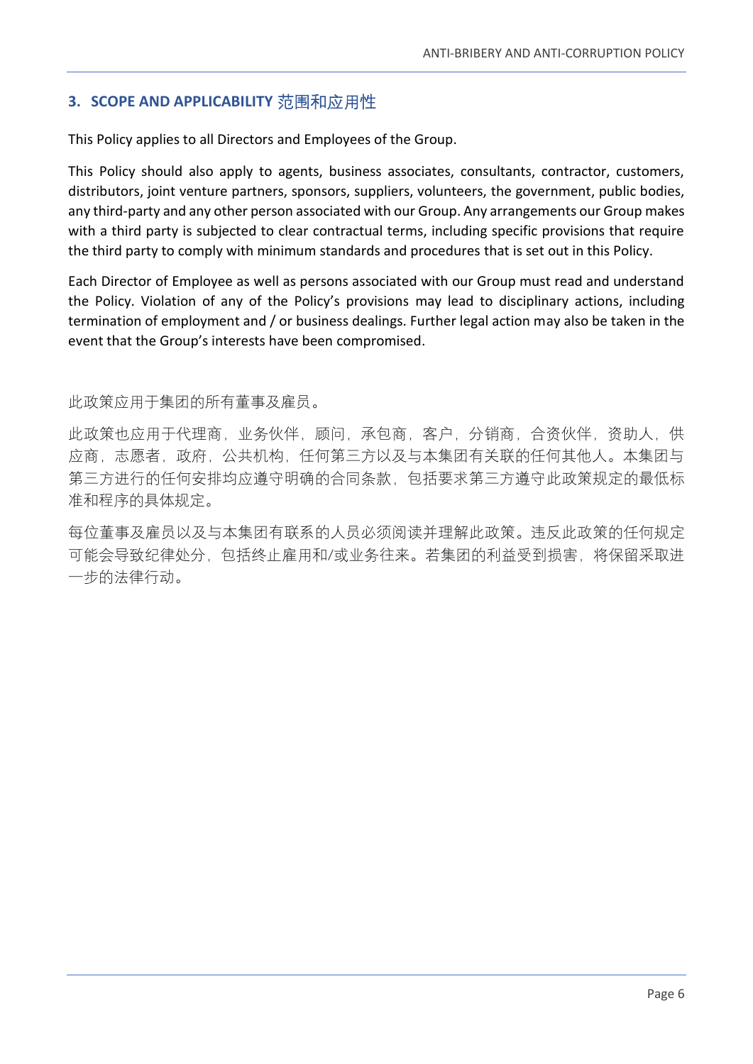# <span id="page-5-0"></span>**3. SCOPE AND APPLICABILITY** 范围和应用性

This Policy applies to all Directors and Employees of the Group.

This Policy should also apply to agents, business associates, consultants, contractor, customers, distributors, joint venture partners, sponsors, suppliers, volunteers, the government, public bodies, any third-party and any other person associated with our Group. Any arrangements our Group makes with a third party is subjected to clear contractual terms, including specific provisions that require the third party to comply with minimum standards and procedures that is set out in this Policy.

Each Director of Employee as well as persons associated with our Group must read and understand the Policy. Violation of any of the Policy's provisions may lead to disciplinary actions, including termination of employment and / or business dealings. Further legal action may also be taken in the event that the Group's interests have been compromised.

此政策应用于集团的所有董事及雇员。

此政策也应用于代理商,业务伙伴,顾问,承包商,客户,分销商,合资伙伴,资助人,供 应商,志愿者,政府,公共机构,任何第三方以及与本集团有关联的任何其他人。本集团与 第三方进行的任何安排均应遵守明确的合同条款,包括要求第三方遵守此政策规定的最低标 准和程序的具体规定。

每位董事及雇员以及与本集团有联系的人员必须阅读并理解此政策。违反此政策的任何规定 可能会导致纪律处分,包括终止雇用和/或业务往来。若集团的利益受到损害,将保留采取进 一步的法律行动。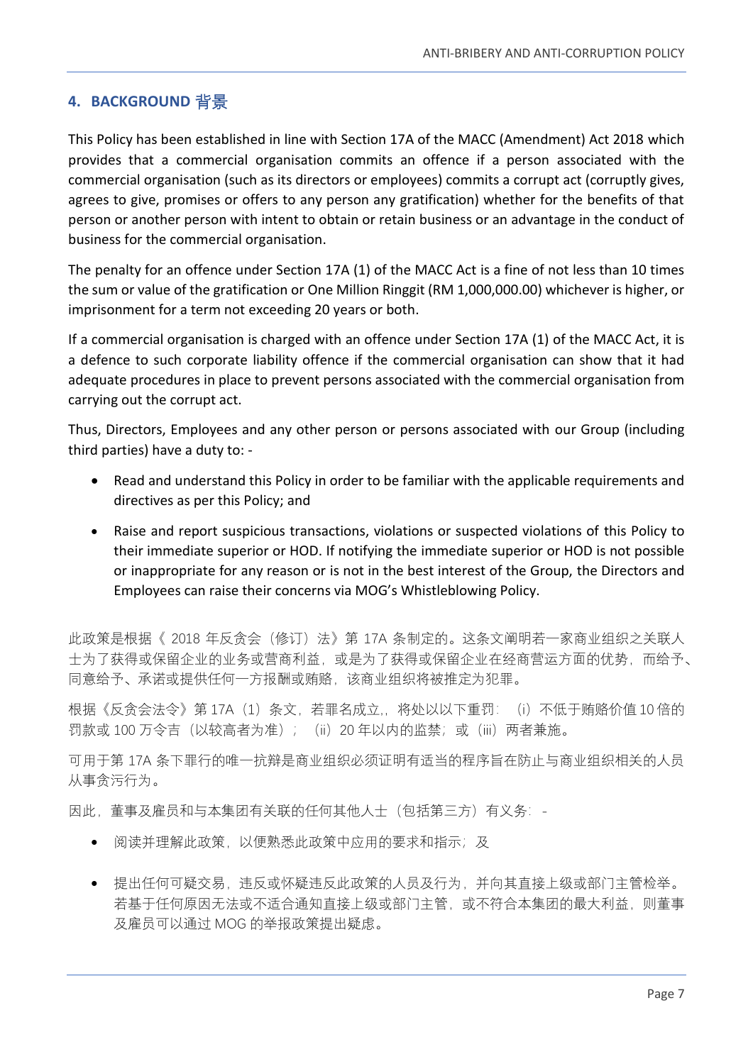#### <span id="page-6-0"></span>**4. BACKGROUND** 背景

This Policy has been established in line with Section 17A of the MACC (Amendment) Act 2018 which provides that a commercial organisation commits an offence if a person associated with the commercial organisation (such as its directors or employees) commits a corrupt act (corruptly gives, agrees to give, promises or offers to any person any gratification) whether for the benefits of that person or another person with intent to obtain or retain business or an advantage in the conduct of business for the commercial organisation.

The penalty for an offence under Section 17A (1) of the MACC Act is a fine of not less than 10 times the sum or value of the gratification or One Million Ringgit (RM 1,000,000.00) whichever is higher, or imprisonment for a term not exceeding 20 years or both.

If a commercial organisation is charged with an offence under Section 17A (1) of the MACC Act, it is a defence to such corporate liability offence if the commercial organisation can show that it had adequate procedures in place to prevent persons associated with the commercial organisation from carrying out the corrupt act.

Thus, Directors, Employees and any other person or persons associated with our Group (including third parties) have a duty to: -

- Read and understand this Policy in order to be familiar with the applicable requirements and directives as per this Policy; and
- Raise and report suspicious transactions, violations or suspected violations of this Policy to their immediate superior or HOD. If notifying the immediate superior or HOD is not possible or inappropriate for any reason or is not in the best interest of the Group, the Directors and Employees can raise their concerns via MOG's Whistleblowing Policy.

此政策是根据《 2018 年反贪会(修订)法》第 17A 条制定的。这条文阐明若一家商业组织之关联人 士为了获得或保留企业的业务或营商利益,或是为了获得或保留企业在经商营运方面的优势,而给予、 同意给予、承诺或提供任何一方报酬或贿赂,该商业组织将被推定为犯罪。

根据《反贪会法令》第 17A (1) 条文, 若罪名成立,, 将处以以下重罚: (i) 不低于贿赂价值 10 倍的 罚款或 100 万令吉 (以较高者为准); (ii) 20 年以内的监禁;或(iii) 两者兼施。

可用于第 17A 条下罪行的唯一抗辩是商业组织必须证明有适当的程序旨在防止与商业组织相关的人员 从事贪污行为。

因此,董事及雇员和与本集团有关联的任何其他人士(包括第三方)有义务: -

- 阅读并理解此政策, 以便熟悉此政策中应用的要求和指示; 及
- 提出任何可疑交易,违反或怀疑违反此政策的人员及行为,并向其直接上级或部门主管检举。 若基于任何原因无法或不适合通知直接上级或部门主管,或不符合本集团的最大利益,则董事 及雇员可以通过 MOG 的举报政策提出疑虑。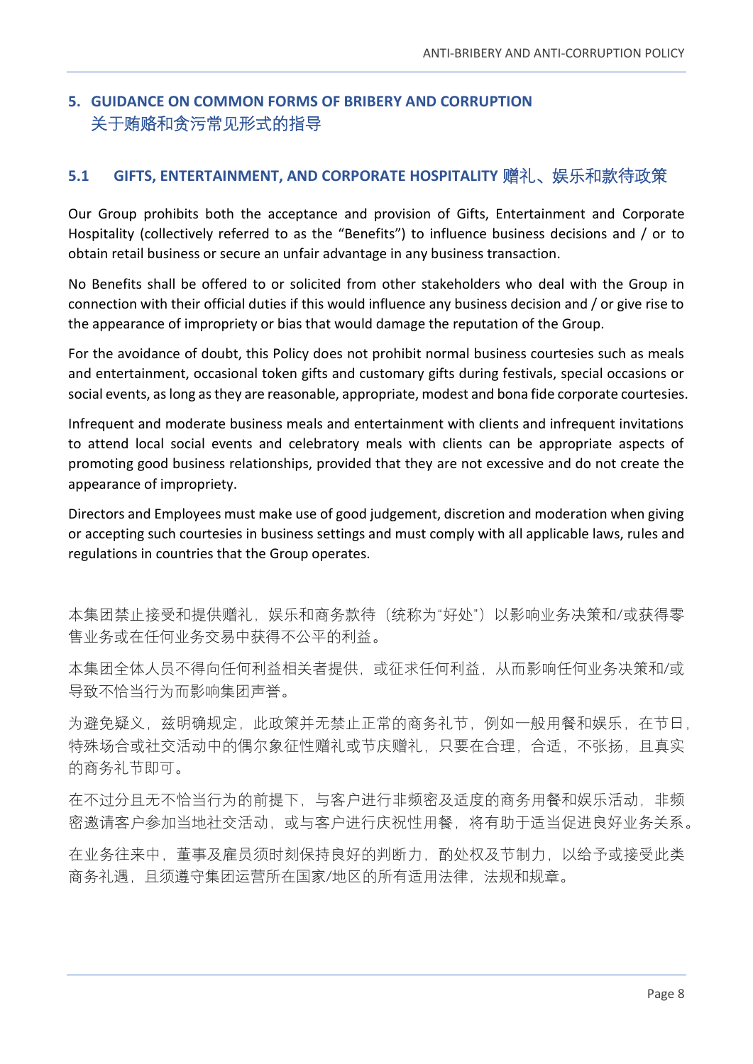# <span id="page-7-0"></span>**5. GUIDANCE ON COMMON FORMS OF BRIBERY AND CORRUPTION** 关于贿赂和贪污常见形式的指导

## <span id="page-7-1"></span>**5.1 GIFTS, ENTERTAINMENT, AND CORPORATE HOSPITALITY** 赠礼、娱乐和款待政策

Our Group prohibits both the acceptance and provision of Gifts, Entertainment and Corporate Hospitality (collectively referred to as the "Benefits") to influence business decisions and / or to obtain retail business or secure an unfair advantage in any business transaction.

No Benefits shall be offered to or solicited from other stakeholders who deal with the Group in connection with their official duties if this would influence any business decision and / or give rise to the appearance of impropriety or bias that would damage the reputation of the Group.

For the avoidance of doubt, this Policy does not prohibit normal business courtesies such as meals and entertainment, occasional token gifts and customary gifts during festivals, special occasions or social events, as long as they are reasonable, appropriate, modest and bona fide corporate courtesies.

Infrequent and moderate business meals and entertainment with clients and infrequent invitations to attend local social events and celebratory meals with clients can be appropriate aspects of promoting good business relationships, provided that they are not excessive and do not create the appearance of impropriety.

Directors and Employees must make use of good judgement, discretion and moderation when giving or accepting such courtesies in business settings and must comply with all applicable laws, rules and regulations in countries that the Group operates.

本集团禁止接受和提供赠礼,娱乐和商务款待(统称为"好处")以影响业务决策和/或获得零 售业务或在任何业务交易中获得不公平的利益。

本集团全体人员不得向任何利益相关者提供,或征求任何利益,从而影响任何业务决策和/或 导致不恰当行为而影响集团声誉。

为避免疑义,兹明确规定,此政策并无禁止正常的商务礼节,例如一般用餐和娱乐,在节日, 特殊场合或社交活动中的偶尔象征性赠礼或节庆赠礼,只要在合理,合适,不张扬,且真实 的商务礼节即可。

在不过分且无不恰当行为的前提下,与客户进行非频密及适度的商务用餐和娱乐活动,非频 密邀请客户参加当地社交活动,或与客户进行庆祝性用餐,将有助于适当促进良好业务关系。

在业务往来中,董事及雇员须时刻保持良好的判断力,酌处权及节制力,以给予或接受此类 商务礼遇,且须遵守集团运营所在国家/地区的所有适用法律,法规和规章。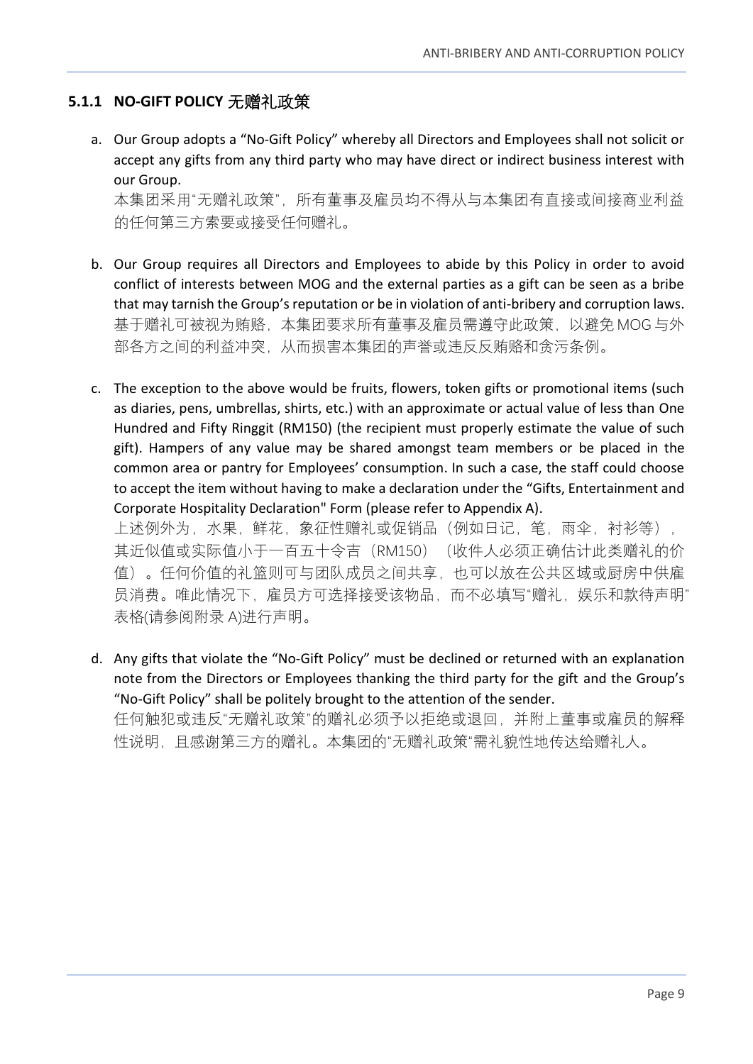# <span id="page-8-0"></span>**5.1.1 NO-GIFT POLICY** 无赠礼政策

a. Our Group adopts a "No-Gift Policy" whereby all Directors and Employees shall not solicit or accept any gifts from any third party who may have direct or indirect business interest with our Group. 本集团采用"无赠礼政策",所有董事及雇员均不得从与本集团有直接或间接商业利益

的任何第三方索要或接受任何赠礼。

- b. Our Group requires all Directors and Employees to abide by this Policy in order to avoid conflict of interests between MOG and the external parties as a gift can be seen as a bribe that may tarnish the Group's reputation or be in violation of anti-bribery and corruption laws. 基于赠礼可被视为贿赂,本集团要求所有董事及雇员需遵守此政策,以避免 MOG 与外 部各方之间的利益冲突,从而损害本集团的声誉或违反反贿赂和贪污条例。
- c. The exception to the above would be fruits, flowers, token gifts or promotional items (such as diaries, pens, umbrellas, shirts, etc.) with an approximate or actual value of less than One Hundred and Fifty Ringgit (RM150) (the recipient must properly estimate the value of such gift). Hampers of any value may be shared amongst team members or be placed in the common area or pantry for Employees' consumption. In such a case, the staff could choose to accept the item without having to make a declaration under the "Gifts, Entertainment and Corporate Hospitality Declaration" Form (please refer to Appendix A).

上述例外为,水果,鲜花,象征性赠礼或促销品(例如日记,笔,雨伞,衬衫等), 其近似值或实际值小于一百五十令吉 (RM150) (收件人必须正确估计此类赠礼的价 值)。任何价值的礼篮则可与团队成员之间共享,也可以放在公共区域或厨房中供雇 员消费。唯此情况下,雇员方可选择接受该物品,而不必填写"赠礼,娱乐和款待声明" 表格(请参阅附录 A)进行声明。

d. Any gifts that violate the "No-Gift Policy" must be declined or returned with an explanation note from the Directors or Employees thanking the third party for the gift and the Group's "No-Gift Policy" shall be politely brought to the attention of the sender. 任何触犯或违反"无赠礼政策"的赠礼必须予以拒绝或退回,并附上董事或雇员的解释

性说明,且感谢第三方的赠礼。本集团的"无赠礼政策"需礼貌性地传达给赠礼人。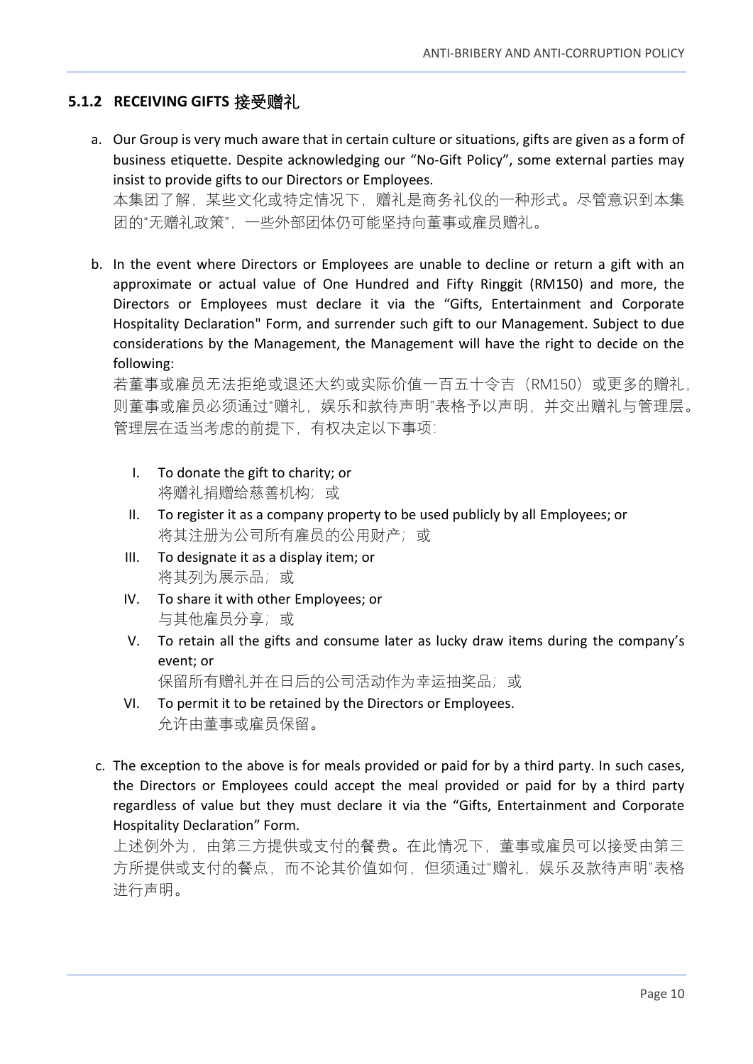## <span id="page-9-0"></span>**5.1.2 RECEIVING GIFTS** 接受赠礼

- a. Our Group is very much aware that in certain culture or situations, gifts are given as a form of business etiquette. Despite acknowledging our "No-Gift Policy", some external parties may insist to provide gifts to our Directors or Employees. 本集团了解,某些文化或特定情况下,赠礼是商务礼仪的一种形式。尽管意识到本集 团的"无赠礼政策",一些外部团体仍可能坚持向董事或雇员赠礼。
- b. In the event where Directors or Employees are unable to decline or return a gift with an approximate or actual value of One Hundred and Fifty Ringgit (RM150) and more, the Directors or Employees must declare it via the "Gifts, Entertainment and Corporate Hospitality Declaration" Form, and surrender such gift to our Management. Subject to due considerations by the Management, the Management will have the right to decide on the following:

若董事或雇员无法拒绝或退还大约或实际价值一百五十令吉(RM150)或更多的赠礼, 则董事或雇员必须通过"赠礼,娱乐和款待声明"表格予以声明,并交出赠礼与管理层。 管理层在适当考虑的前提下,有权决定以下事项:

- I. To donate the gift to charity; or 将赠礼捐赠给慈善机构;或
- II. To register it as a company property to be used publicly by all Employees; or 将其注册为公司所有雇员的公用财产;或
- III. To designate it as a display item; or 将其列为展示品;或
- IV. To share it with other Employees; or 与其他雇员分享;或
- V. To retain all the gifts and consume later as lucky draw items during the company's event; or

保留所有赠礼并在日后的公司活动作为幸运抽奖品;或

- VI. To permit it to be retained by the Directors or Employees. 允许由董事或雇员保留。
- c. The exception to the above is for meals provided or paid for by a third party. In such cases, the Directors or Employees could accept the meal provided or paid for by a third party regardless of value but they must declare it via the "Gifts, Entertainment and Corporate Hospitality Declaration" Form.

上述例外为,由第三方提供或支付的餐费。在此情况下,董事或雇员可以接受由第三 方所提供或支付的餐点,而不论其价值如何,但须通过"赠礼,娱乐及款待声明"表格 进行声明。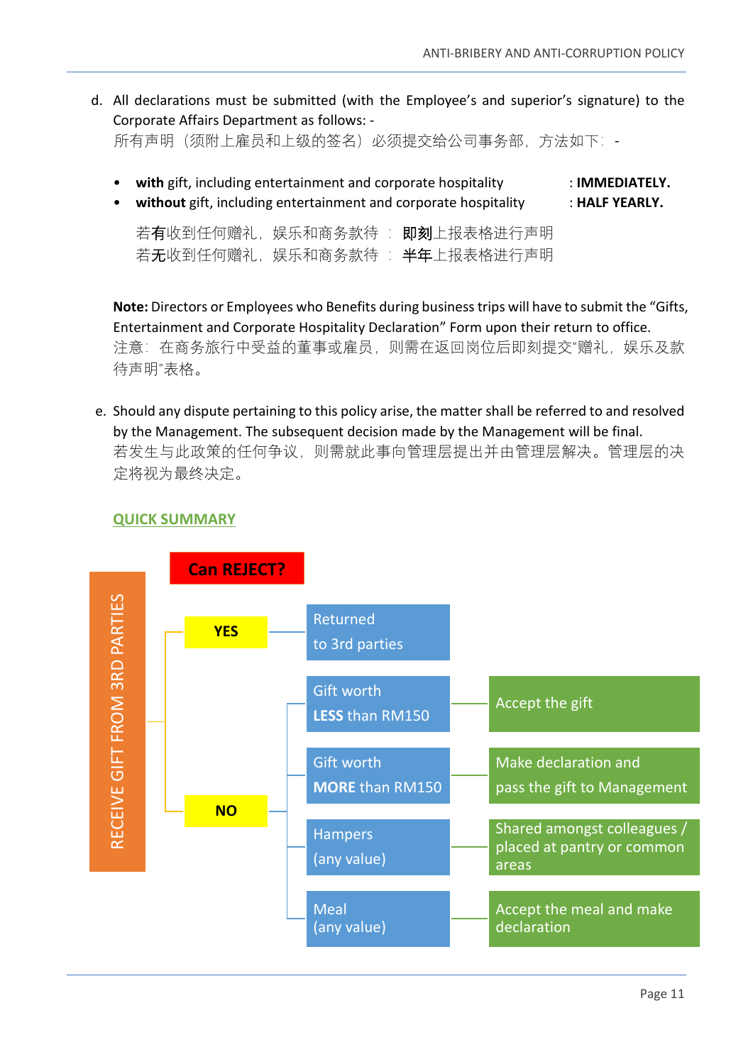d. All declarations must be submitted (with the Employee's and superior's signature) to the Corporate Affairs Department as follows: -

所有声明(须附上雇员和上级的签名)必须提交给公司事务部,方法如下:-

| • with gift, including entertainment and corporate hospitality<br>• without gift, including entertainment and corporate hospitality | $\pm$ IMMEDIATELY.<br>$\pm$ HALF YEARLY. |
|-------------------------------------------------------------------------------------------------------------------------------------|------------------------------------------|
| 若有收到任何赠礼,娱乐和商务款待 : 即刻上报表格进行声明<br>若无收到任何赠礼,娱乐和商务款待 : 半年上报表格进行声明                                                                      |                                          |

**Note:** Directors or Employees who Benefits during business trips will have to submit the "Gifts, Entertainment and Corporate Hospitality Declaration" Form upon their return to office. 注意: 在商务旅行中受益的董事或雇员, 则需在返回岗位后即刻提交"赠礼, 娱乐及款 待声明"表格。

e. Should any dispute pertaining to this policy arise, the matter shall be referred to and resolved by the Management. The subsequent decision made by the Management will be final. 若发生与此政策的任何争议,则需就此事向管理层提出并由管理层解决。管理层的决 定将视为最终决定。

#### **QUICK SUMMARY**

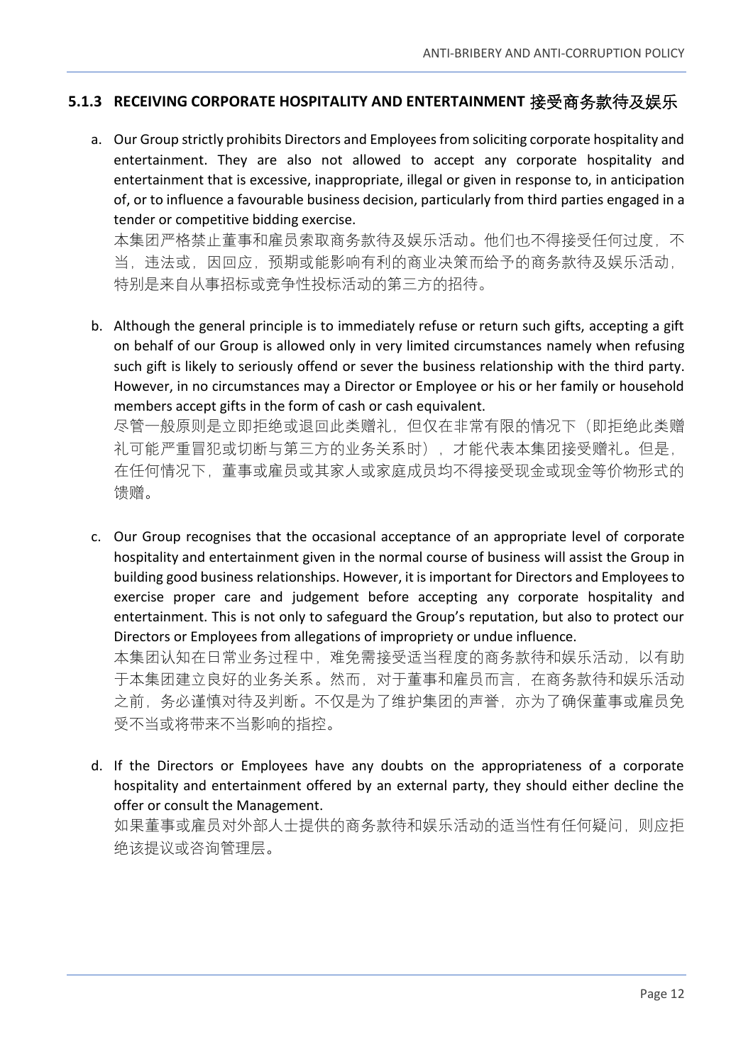#### <span id="page-11-0"></span>**5.1.3 RECEIVING CORPORATE HOSPITALITY AND ENTERTAINMENT** 接受商务款待及娱乐

a. Our Group strictly prohibits Directors and Employees from soliciting corporate hospitality and entertainment. They are also not allowed to accept any corporate hospitality and entertainment that is excessive, inappropriate, illegal or given in response to, in anticipation of, or to influence a favourable business decision, particularly from third parties engaged in a tender or competitive bidding exercise.

本集团严格禁止董事和雇员索取商务款待及娱乐活动。他们也不得接受任何过度,不 当,违法或,因回应,预期或能影响有利的商业决策而给予的商务款待及娱乐活动, 特别是来自从事招标或竞争性投标活动的第三方的招待。

b. Although the general principle is to immediately refuse or return such gifts, accepting a gift on behalf of our Group is allowed only in very limited circumstances namely when refusing such gift is likely to seriously offend or sever the business relationship with the third party. However, in no circumstances may a Director or Employee or his or her family or household members accept gifts in the form of cash or cash equivalent.

尽管一般原则是立即拒绝或退回此类赠礼,但仅在非常有限的情况下(即拒绝此类赠 礼可能严重冒犯或切断与第三方的业务关系时),才能代表本集团接受赠礼。但是, 在任何情况下,董事或雇员或其家人或家庭成员均不得接受现金或现金等价物形式的 馈赠。

c. Our Group recognises that the occasional acceptance of an appropriate level of corporate hospitality and entertainment given in the normal course of business will assist the Group in building good business relationships. However, it is important for Directors and Employees to exercise proper care and judgement before accepting any corporate hospitality and entertainment. This is not only to safeguard the Group's reputation, but also to protect our Directors or Employees from allegations of impropriety or undue influence.

本集团认知在日常业务过程中,难免需接受适当程度的商务款待和娱乐活动,以有助 于本集团建立良好的业务关系。然而,对于董事和雇员而言,在商务款待和娱乐活动 之前,务必谨慎对待及判断。不仅是为了维护集团的声誉,亦为了确保董事或雇员免 受不当或将带来不当影响的指控。

d. If the Directors or Employees have any doubts on the appropriateness of a corporate hospitality and entertainment offered by an external party, they should either decline the offer or consult the Management.

如果董事或雇员对外部人士提供的商务款待和娱乐活动的适当性有任何疑问,则应拒 绝该提议或咨询管理层。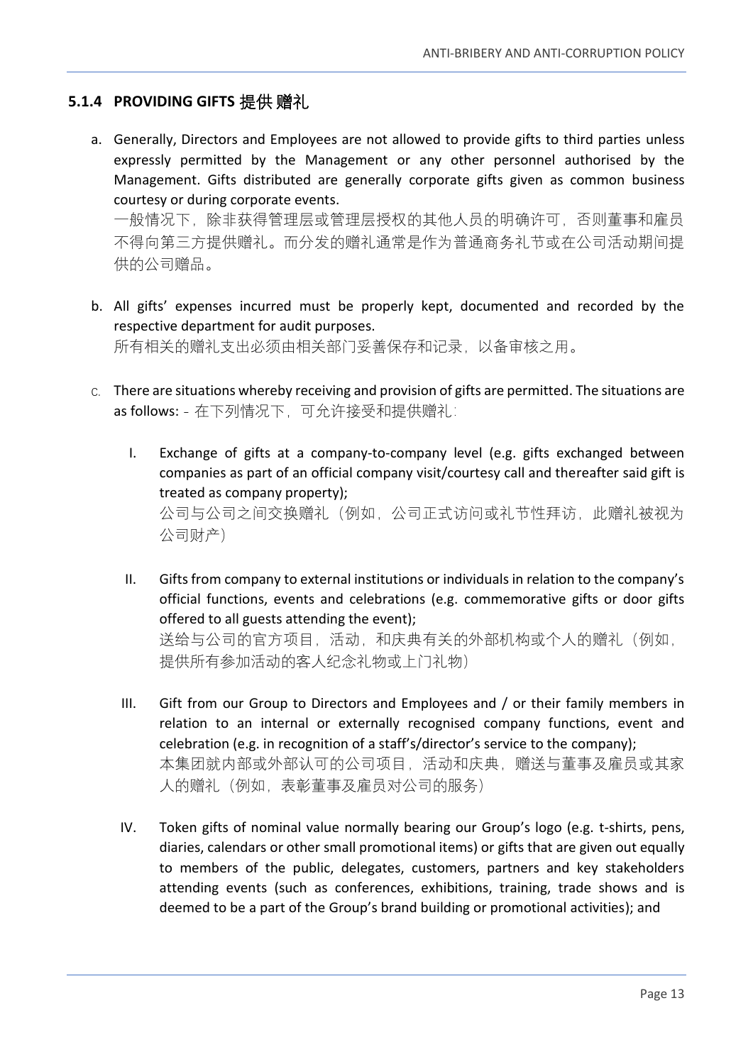#### <span id="page-12-0"></span>**5.1.4 PROVIDING GIFTS** 提供 赠礼

a. Generally, Directors and Employees are not allowed to provide gifts to third parties unless expressly permitted by the Management or any other personnel authorised by the Management. Gifts distributed are generally corporate gifts given as common business courtesy or during corporate events.

一般情况下,除非获得管理层或管理层授权的其他人员的明确许可,否则董事和雇员 不得向第三方提供赠礼。而分发的赠礼通常是作为普通商务礼节或在公司活动期间提 供的公司赠品。

b. All gifts' expenses incurred must be properly kept, documented and recorded by the respective department for audit purposes.

所有相关的赠礼支出必须由相关部门妥善保存和记录,以备审核之用。

- c. There are situations whereby receiving and provision of gifts are permitted. The situations are as follows: - 在下列情况下, 可允许接受和提供赠礼:
	- I. Exchange of gifts at a company-to-company level (e.g. gifts exchanged between companies as part of an official company visit/courtesy call and thereafter said gift is treated as company property); 公司与公司之间交换赠礼(例如,公司正式访问或礼节性拜访,此赠礼被视为 公司财产)
	- II. Gifts from company to external institutions or individuals in relation to the company's official functions, events and celebrations (e.g. commemorative gifts or door gifts offered to all guests attending the event); 送给与公司的官方项目,活动,和庆典有关的外部机构或个人的赠礼(例如, 提供所有参加活动的客人纪念礼物或上门礼物)
	- III. Gift from our Group to Directors and Employees and / or their family members in relation to an internal or externally recognised company functions, event and celebration (e.g. in recognition of a staff's/director's service to the company); 本集团就内部或外部认可的公司项目,活动和庆典,赠送与董事及雇员或其家 人的赠礼(例如,表彰董事及雇员对公司的服务)
	- IV. Token gifts of nominal value normally bearing our Group's logo (e.g. t-shirts, pens, diaries, calendars or other small promotional items) or gifts that are given out equally to members of the public, delegates, customers, partners and key stakeholders attending events (such as conferences, exhibitions, training, trade shows and is deemed to be a part of the Group's brand building or promotional activities); and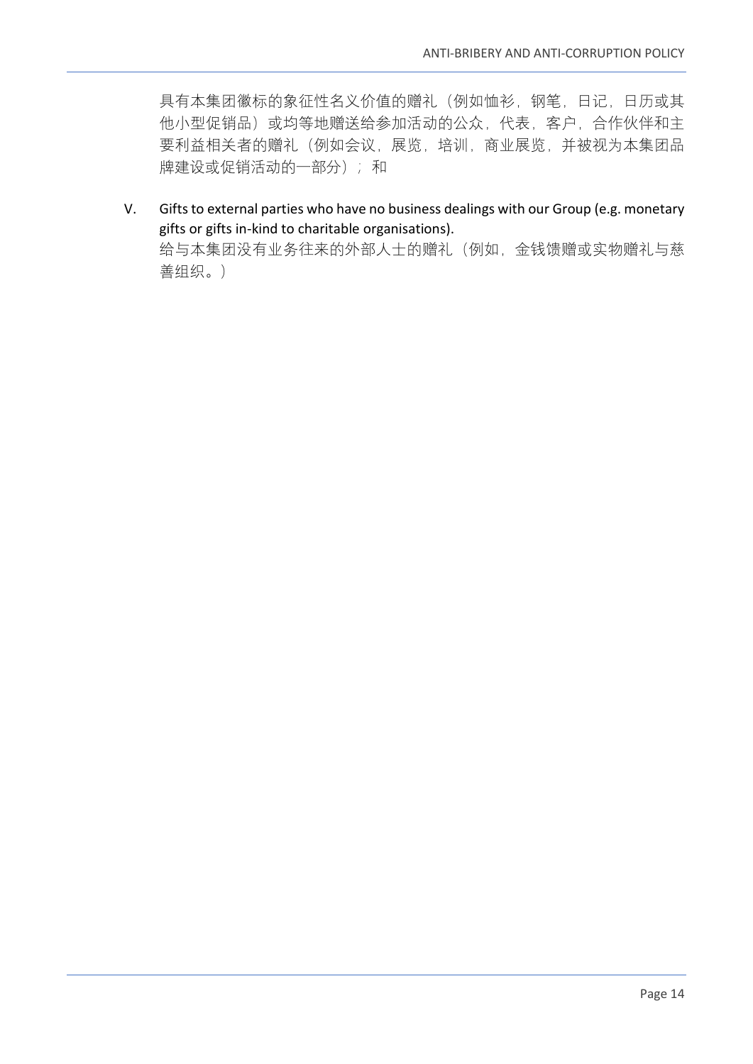具有本集团徽标的象征性名义价值的赠礼(例如恤衫,钢笔,日记,日历或其 他小型促销品)或均等地赠送给参加活动的公众,代表,客户,合作伙伴和主 要利益相关者的赠礼(例如会议,展览,培训,商业展览,并被视为本集团品 牌建设或促销活动的一部分);和

V. Gifts to external parties who have no business dealings with our Group (e.g. monetary gifts or gifts in-kind to charitable organisations). 给与本集团没有业务往来的外部人士的赠礼(例如,金钱馈赠或实物赠礼与慈 善组织。)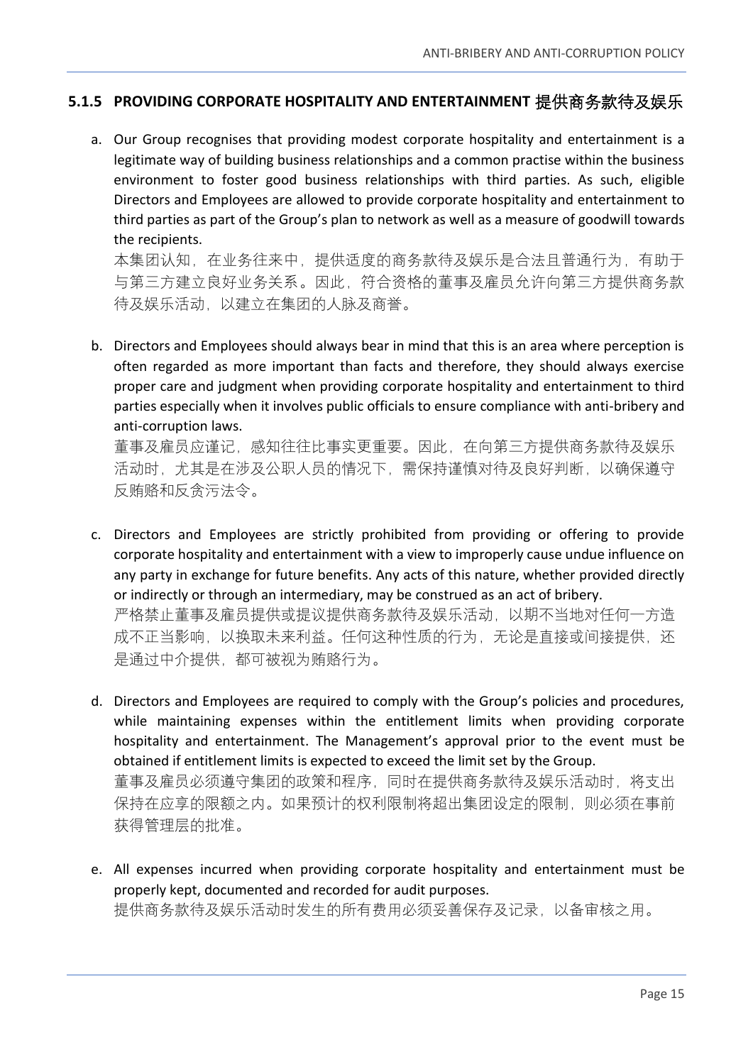#### <span id="page-14-0"></span>**5.1.5 PROVIDING CORPORATE HOSPITALITY AND ENTERTAINMENT** 提供商务款待及娱乐

a. Our Group recognises that providing modest corporate hospitality and entertainment is a legitimate way of building business relationships and a common practise within the business environment to foster good business relationships with third parties. As such, eligible Directors and Employees are allowed to provide corporate hospitality and entertainment to third parties as part of the Group's plan to network as well as a measure of goodwill towards the recipients.

本集团认知,在业务往来中,提供适度的商务款待及娱乐是合法且普通行为,有助于 与第三方建立良好业务关系。因此,符合资格的董事及雇员允许向第三方提供商务款 待及娱乐活动,以建立在集团的人脉及商誉。

b. Directors and Employees should always bear in mind that this is an area where perception is often regarded as more important than facts and therefore, they should always exercise proper care and judgment when providing corporate hospitality and entertainment to third parties especially when it involves public officials to ensure compliance with anti-bribery and anti-corruption laws.

董事及雇员应谨记,感知往往比事实更重要。因此,在向第三方提供商务款待及娱乐 活动时,尤其是在涉及公职人员的情况下,需保持谨慎对待及良好判断,以确保遵守 反贿赂和反贪污法令。

- c. Directors and Employees are strictly prohibited from providing or offering to provide corporate hospitality and entertainment with a view to improperly cause undue influence on any party in exchange for future benefits. Any acts of this nature, whether provided directly or indirectly or through an intermediary, may be construed as an act of bribery. 严格禁止董事及雇员提供或提议提供商务款待及娱乐活动,以期不当地对任何一方造 成不正当影响,以换取未来利益。任何这种性质的行为,无论是直接或间接提供,还 是通过中介提供,都可被视为贿赂行为。
- d. Directors and Employees are required to comply with the Group's policies and procedures, while maintaining expenses within the entitlement limits when providing corporate hospitality and entertainment. The Management's approval prior to the event must be obtained if entitlement limits is expected to exceed the limit set by the Group. 董事及雇员必须遵守集团的政策和程序,同时在提供商务款待及娱乐活动时,将支出 保持在应享的限额之内。如果预计的权利限制将超出集团设定的限制,则必须在事前 获得管理层的批准。
- e. All expenses incurred when providing corporate hospitality and entertainment must be properly kept, documented and recorded for audit purposes. 提供商务款待及娱乐活动时发生的所有费用必须妥善保存及记录,以备审核之用。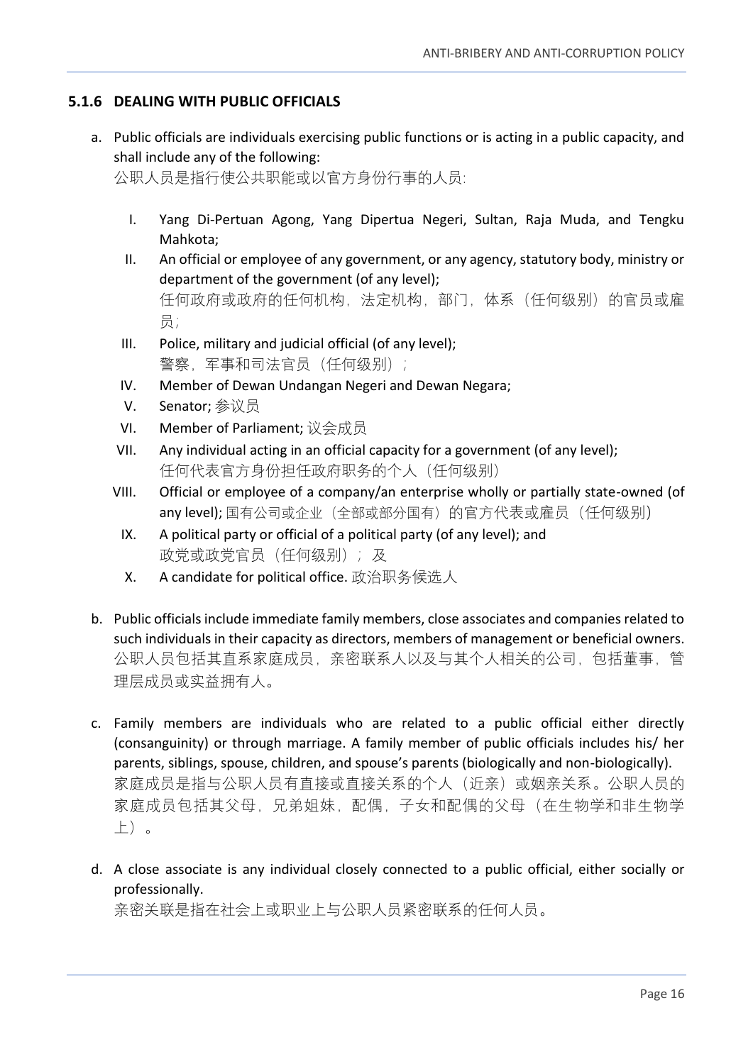#### <span id="page-15-0"></span>**5.1.6 DEALING WITH PUBLIC OFFICIALS**

a. Public officials are individuals exercising public functions or is acting in a public capacity, and shall include any of the following:

公职人员是指行使公共职能或以官方身份行事的人员:

- I. Yang Di-Pertuan Agong, Yang Dipertua Negeri, Sultan, Raja Muda, and Tengku Mahkota;
- II. An official or employee of any government, or any agency, statutory body, ministry or department of the government (of any level); 任何政府或政府的任何机构,法定机构,部门,体系(任何级别)的官员或雇 员;
- III. Police, military and judicial official (of any level); 警察,军事和司法官员(任何级别);
- IV. Member of Dewan Undangan Negeri and Dewan Negara;
- V. Senator; 参议员
- VI. Member of Parliament; 议会成员
- VII. Any individual acting in an official capacity for a government (of any level); 任何代表官方身份担任政府职务的个人(任何级别)
- VIII. Official or employee of a company/an enterprise wholly or partially state-owned (of any level); 国有公司或企业(全部或部分国有)的官方代表或雇员(任何级别)
- IX. A political party or official of a political party (of any level); and 政党或政党官员(任何级别);及
- X. A candidate for political office. 政治职务候选人
- b. Public officials include immediate family members, close associates and companies related to such individuals in their capacity as directors, members of management or beneficial owners. 公职人员包括其直系家庭成员,亲密联系人以及与其个人相关的公司,包括董事,管 理层成员或实益拥有人。
- c. Family members are individuals who are related to a public official either directly (consanguinity) or through marriage. A family member of public officials includes his/ her parents, siblings, spouse, children, and spouse's parents (biologically and non-biologically). 家庭成员是指与公职人员有直接或直接关系的个人(近亲)或姻亲关系。公职人员的 家庭成员包括其父母,兄弟姐妹,配偶,子女和配偶的父母(在生物学和非生物学 上)。
- d. A close associate is any individual closely connected to a public official, either socially or professionally.

亲密关联是指在社会上或职业上与公职人员紧密联系的任何人员。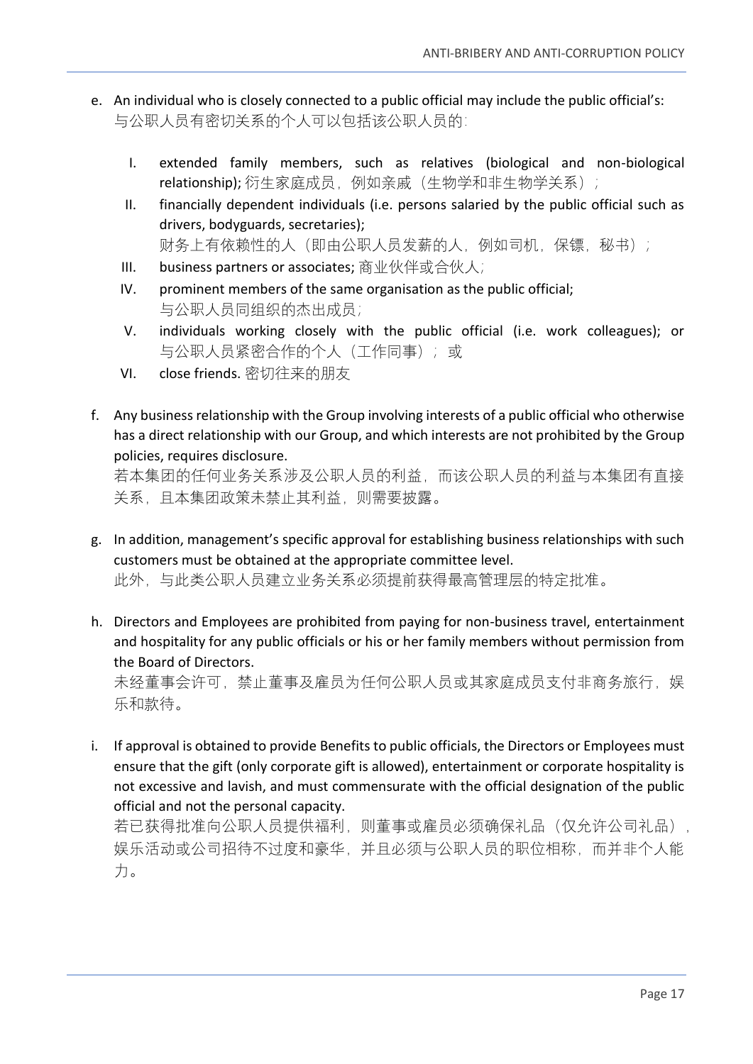- e. An individual who is closely connected to a public official may include the public official's: 与公职人员有密切关系的个人可以包括该公职人员的:
	- I. extended family members, such as relatives (biological and non-biological relationship); 衍生家庭成员, 例如亲戚(生物学和非生物学关系);
	- II. financially dependent individuals (i.e. persons salaried by the public official such as drivers, bodyguards, secretaries); 财务上有依赖性的人(即由公职人员发薪的人,例如司机,保镖,秘书);
	- III. business partners or associates; 商业伙伴或合伙人;
	- IV. prominent members of the same organisation as the public official; 与公职人员同组织的杰出成员;
	- V. individuals working closely with the public official (i.e. work colleagues); or 与公职人员紧密合作的个人(工作同事);或
	- VI. close friends. 密切往来的朋友
- f. Any business relationship with the Group involving interests of a public official who otherwise has a direct relationship with our Group, and which interests are not prohibited by the Group policies, requires disclosure.

若本集团的任何业务关系涉及公职人员的利益,而该公职人员的利益与本集团有直接 关系,且本集团政策未禁止其利益,则需要披露。

- g. In addition, management's specific approval for establishing business relationships with such customers must be obtained at the appropriate committee level. 此外,与此类公职人员建立业务关系必须提前获得最高管理层的特定批准。
- h. Directors and Employees are prohibited from paying for non-business travel, entertainment and hospitality for any public officials or his or her family members without permission from

the Board of Directors. 未经董事会许可,禁止董事及雇员为任何公职人员或其家庭成员支付非商务旅行,娱 乐和款待。

i. If approval is obtained to provide Benefits to public officials, the Directors or Employees must ensure that the gift (only corporate gift is allowed), entertainment or corporate hospitality is not excessive and lavish, and must commensurate with the official designation of the public official and not the personal capacity.

若已获得批准向公职人员提供福利,则董事或雇员必须确保礼品(仅允许公司礼品), 娱乐活动或公司招待不过度和豪华,并且必须与公职人员的职位相称,而并非个人能 力。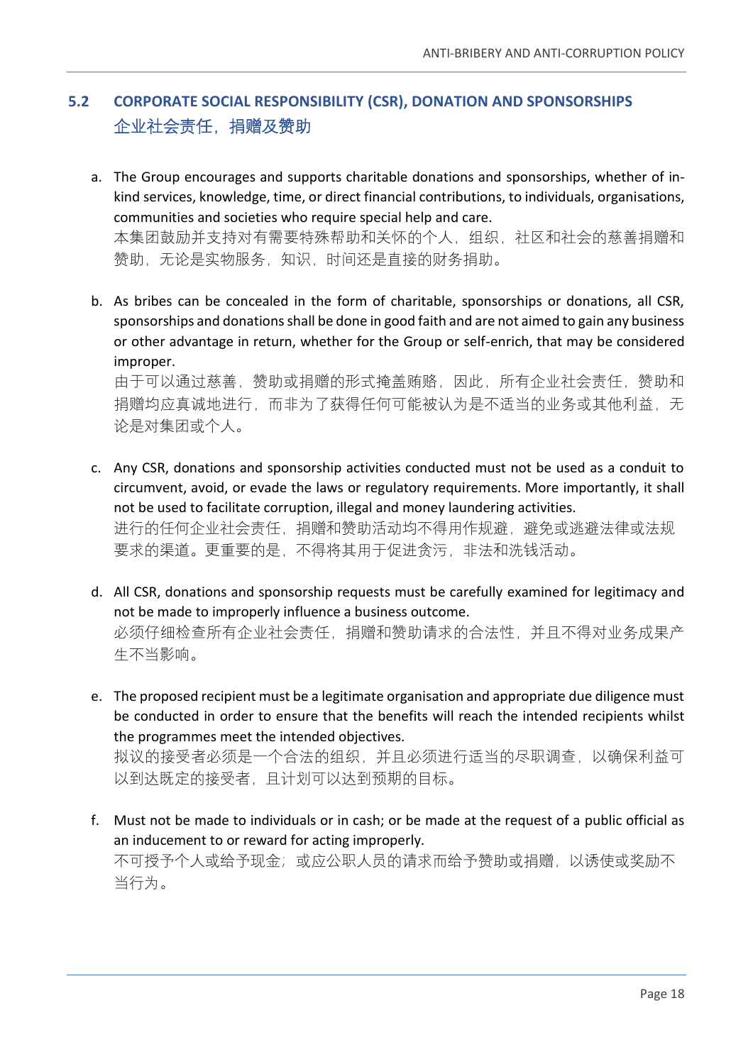# <span id="page-17-0"></span>**5.2 CORPORATE SOCIAL RESPONSIBILITY (CSR), DONATION AND SPONSORSHIPS** 企业社会责任,捐赠及赞助

a. The Group encourages and supports charitable donations and sponsorships, whether of inkind services, knowledge, time, or direct financial contributions, to individuals, organisations, communities and societies who require special help and care. 本集团鼓励并支持对有需要特殊帮助和关怀的个人,组织,社区和社会的慈善捐赠和

赞助,无论是实物服务,知识,时间还是直接的财务捐助。

b. As bribes can be concealed in the form of charitable, sponsorships or donations, all CSR, sponsorships and donations shall be done in good faith and are not aimed to gain any business or other advantage in return, whether for the Group or self-enrich, that may be considered improper.

由于可以通过慈善,赞助或捐赠的形式掩盖贿赂,因此,所有企业社会责任,赞助和 捐赠均应真诚地进行,而非为了获得任何可能被认为是不适当的业务或其他利益,无 论是对集团或个人。

- c. Any CSR, donations and sponsorship activities conducted must not be used as a conduit to circumvent, avoid, or evade the laws or regulatory requirements. More importantly, it shall not be used to facilitate corruption, illegal and money laundering activities. 进行的任何企业社会责任,捐赠和赞助活动均不得用作规避,避免或逃避法律或法规 要求的渠道。更重要的是,不得将其用于促进贪污,非法和洗钱活动。
- d. All CSR, donations and sponsorship requests must be carefully examined for legitimacy and not be made to improperly influence a business outcome. 必须仔细检查所有企业社会责任,捐赠和赞助请求的合法性,并且不得对业务成果产 生不当影响。
- e. The proposed recipient must be a legitimate organisation and appropriate due diligence must be conducted in order to ensure that the benefits will reach the intended recipients whilst the programmes meet the intended objectives. 拟议的接受者必须是一个合法的组织,并且必须进行适当的尽职调查,以确保利益可

以到达既定的接受者,且计划可以达到预期的目标。

f. Must not be made to individuals or in cash; or be made at the request of a public official as an inducement to or reward for acting improperly. 不可授予个人或给予现金;或应公职人员的请求而给予赞助或捐赠,以诱使或奖励不 当行为。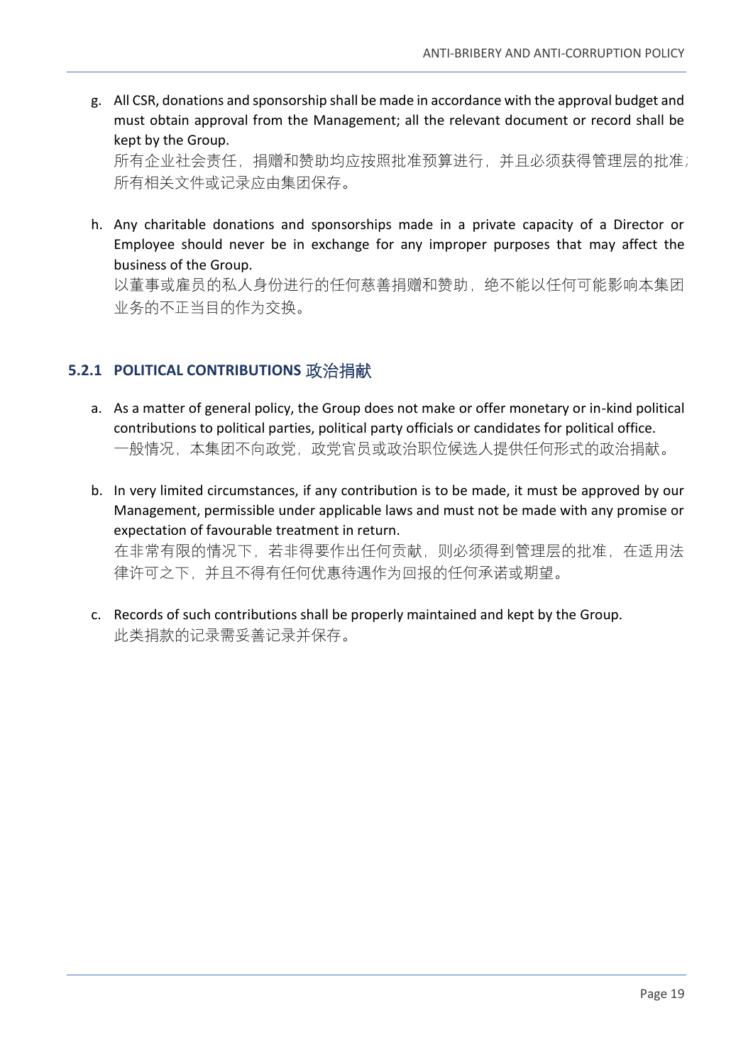g. All CSR, donations and sponsorship shall be made in accordance with the approval budget and must obtain approval from the Management; all the relevant document or record shall be kept by the Group.

所有企业社会责任,捐赠和赞助均应按照批准预算进行,并且必须获得管理层的批准; 所有相关文件或记录应由集团保存。

h. Any charitable donations and sponsorships made in a private capacity of a Director or Employee should never be in exchange for any improper purposes that may affect the business of the Group.

以董事或雇员的私人身份进行的任何慈善捐赠和赞助,绝不能以任何可能影响本集团 业务的不正当目的作为交换。

## <span id="page-18-0"></span>**5.2.1 POLITICAL CONTRIBUTIONS** 政治捐献

- a. As a matter of general policy, the Group does not make or offer monetary or in-kind political contributions to political parties, political party officials or candidates for political office. 一般情况,本集团不向政党,政党官员或政治职位候选人提供任何形式的政治捐献。
- b. In very limited circumstances, if any contribution is to be made, it must be approved by our Management, permissible under applicable laws and must not be made with any promise or expectation of favourable treatment in return. 在非常有限的情况下,若非得要作出任何贡献,则必须得到管理层的批准,在适用法 律许可之下,并且不得有任何优惠待遇作为回报的任何承诺或期望。
- c. Records of such contributions shall be properly maintained and kept by the Group. 此类捐款的记录需妥善记录并保存。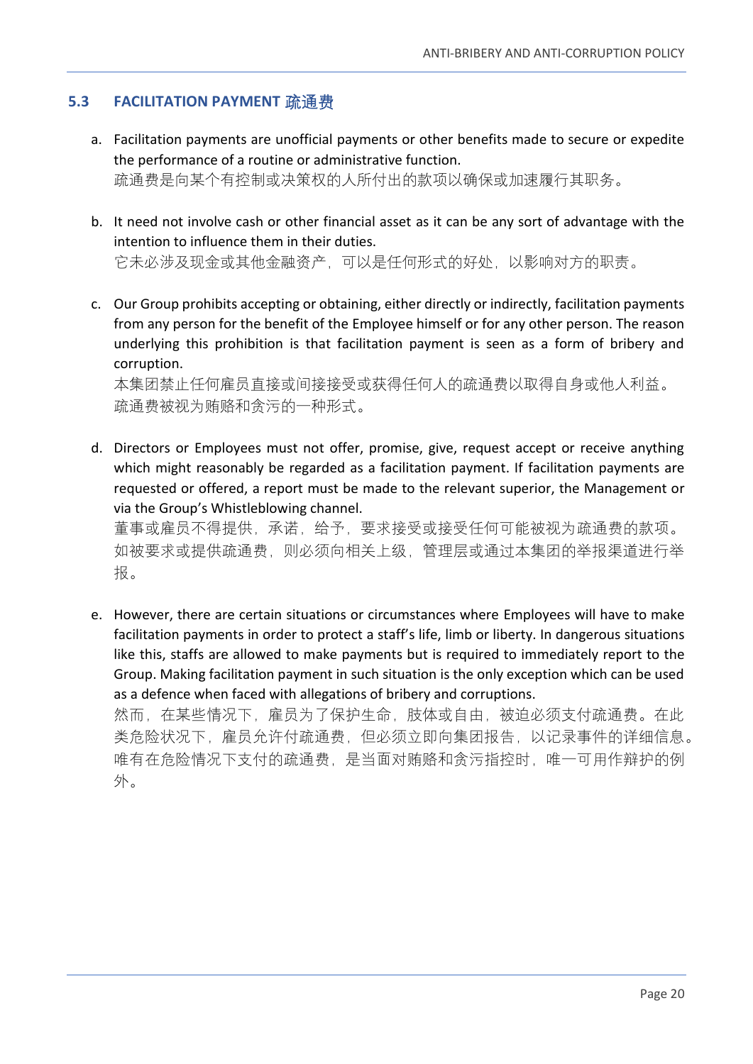#### <span id="page-19-0"></span>**5.3 FACILITATION PAYMENT** 疏通费

- a. Facilitation payments are unofficial payments or other benefits made to secure or expedite the performance of a routine or administrative function. 疏通费是向某个有控制或决策权的人所付出的款项以确保或加速履行其职务。
- b. It need not involve cash or other financial asset as it can be any sort of advantage with the intention to influence them in their duties. 它未必涉及现金或其他金融资产,可以是任何形式的好处,以影响对方的职责。
- c. Our Group prohibits accepting or obtaining, either directly or indirectly, facilitation payments from any person for the benefit of the Employee himself or for any other person. The reason underlying this prohibition is that facilitation payment is seen as a form of bribery and corruption.

本集团禁止任何雇员直接或间接接受或获得任何人的疏通费以取得自身或他人利益。 疏通费被视为贿赂和贪污的一种形式。

d. Directors or Employees must not offer, promise, give, request accept or receive anything which might reasonably be regarded as a facilitation payment. If facilitation payments are requested or offered, a report must be made to the relevant superior, the Management or via the Group's Whistleblowing channel. 董事或雇员不得提供,承诺,给予,要求接受或接受任何可能被视为疏通费的款项。 如被要求或提供疏通费,则必须向相关上级,管理层或通过本集团的举报渠道进行举

报。

e. However, there are certain situations or circumstances where Employees will have to make facilitation payments in order to protect a staff's life, limb or liberty. In dangerous situations like this, staffs are allowed to make payments but is required to immediately report to the Group. Making facilitation payment in such situation is the only exception which can be used as a defence when faced with allegations of bribery and corruptions.

然而,在某些情况下,雇员为了保护生命,肢体或自由,被迫必须支付疏通费。在此 类危险状况下,雇员允许付疏通费,但必须立即向集团报告,以记录事件的详细信息。 唯有在危险情况下支付的疏通费,是当面对贿赂和贪污指控时,唯一可用作辩护的例 外。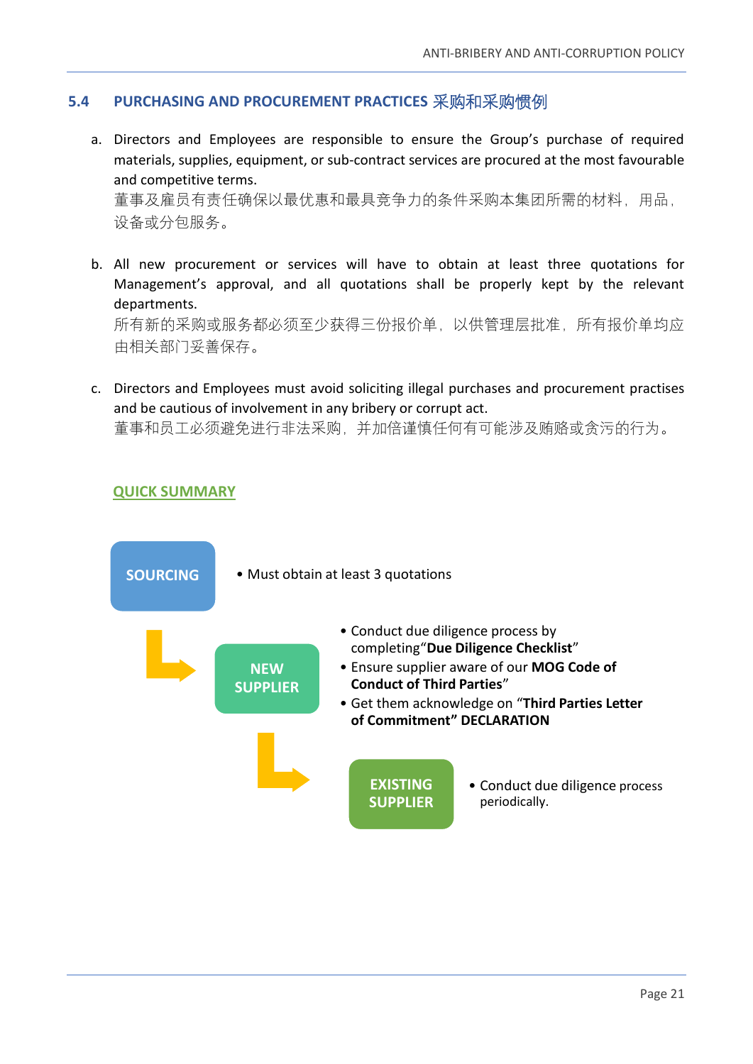#### <span id="page-20-0"></span>**5.4 PURCHASING AND PROCUREMENT PRACTICES** 采购和采购惯例

- a. Directors and Employees are responsible to ensure the Group's purchase of required materials, supplies, equipment, or sub-contract services are procured at the most favourable and competitive terms. 董事及雇员有责任确保以最优惠和最具竞争力的条件采购本集团所需的材料,用品, 设备或分包服务。
- b. All new procurement or services will have to obtain at least three quotations for Management's approval, and all quotations shall be properly kept by the relevant departments. 所有新的采购或服务都必须至少获得三份报价单,以供管理层批准,所有报价单均应 由相关部门妥善保存。
- c. Directors and Employees must avoid soliciting illegal purchases and procurement practises and be cautious of involvement in any bribery or corrupt act. 董事和员工必须避免进行非法采购,并加倍谨慎任何有可能涉及贿赂或贪污的行为。

#### **QUICK SUMMARY**

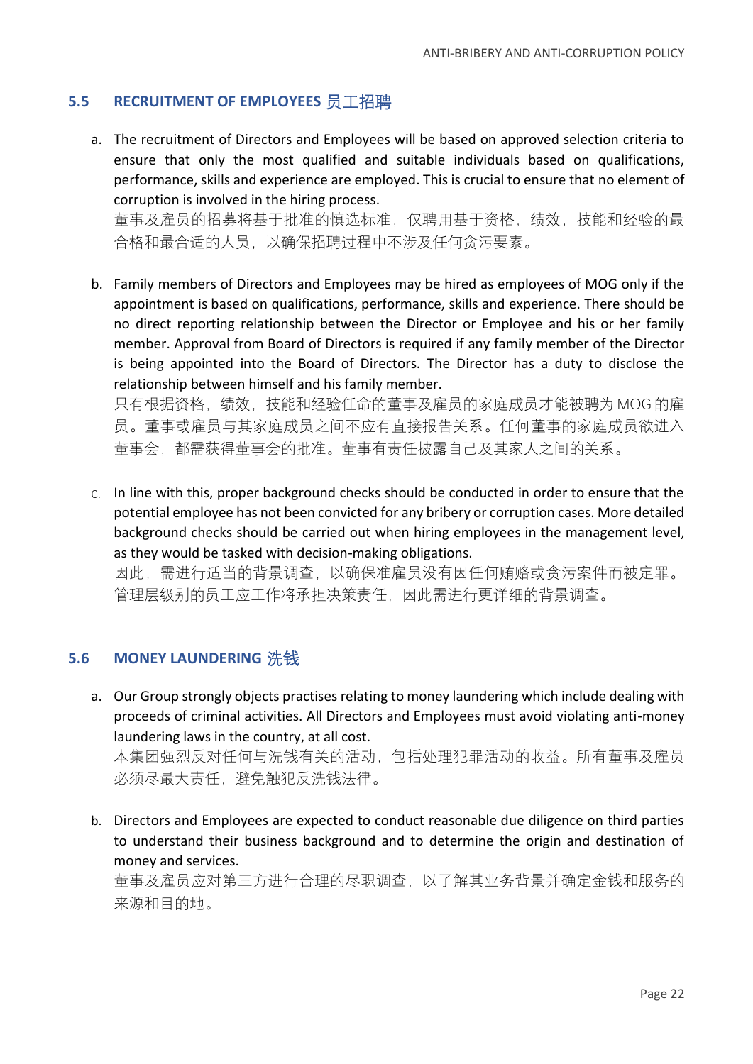#### <span id="page-21-0"></span>**5.5 RECRUITMENT OF EMPLOYEES** 员工招聘

a. The recruitment of Directors and Employees will be based on approved selection criteria to ensure that only the most qualified and suitable individuals based on qualifications, performance, skills and experience are employed. This is crucial to ensure that no element of corruption is involved in the hiring process.

董事及雇员的招募将基于批准的慎选标准,仅聘用基于资格,绩效,技能和经验的最 合格和最合适的人员,以确保招聘过程中不涉及任何贪污要素。

b. Family members of Directors and Employees may be hired as employees of MOG only if the appointment is based on qualifications, performance, skills and experience. There should be no direct reporting relationship between the Director or Employee and his or her family member. Approval from Board of Directors is required if any family member of the Director is being appointed into the Board of Directors. The Director has a duty to disclose the relationship between himself and his family member.

只有根据资格,绩效,技能和经验任命的董事及雇员的家庭成员才能被聘为 MOG 的雇 员。董事或雇员与其家庭成员之间不应有直接报告关系。任何董事的家庭成员欲进入 董事会,都需获得董事会的批准。董事有责任披露自己及其家人之间的关系。

c. In line with this, proper background checks should be conducted in order to ensure that the potential employee has not been convicted for any bribery or corruption cases. More detailed background checks should be carried out when hiring employees in the management level, as they would be tasked with decision-making obligations. 因此,需进行适当的背景调查,以确保准雇员没有因任何贿赂或贪污案件而被定罪。

管理层级别的员工应工作将承担决策责任,因此需进行更详细的背景调查。

#### <span id="page-21-1"></span>**5.6 MONEY LAUNDERING** 洗钱

a. Our Group strongly objects practises relating to money laundering which include dealing with proceeds of criminal activities. All Directors and Employees must avoid violating anti-money laundering laws in the country, at all cost.

本集团强烈反对任何与洗钱有关的活动,包括处理犯罪活动的收益。所有董事及雇员 必须尽最大责任,避免触犯反洗钱法律。

b. Directors and Employees are expected to conduct reasonable due diligence on third parties to understand their business background and to determine the origin and destination of money and services.

董事及雇员应对第三方进行合理的尽职调查,以了解其业务背景并确定金钱和服务的 来源和目的地。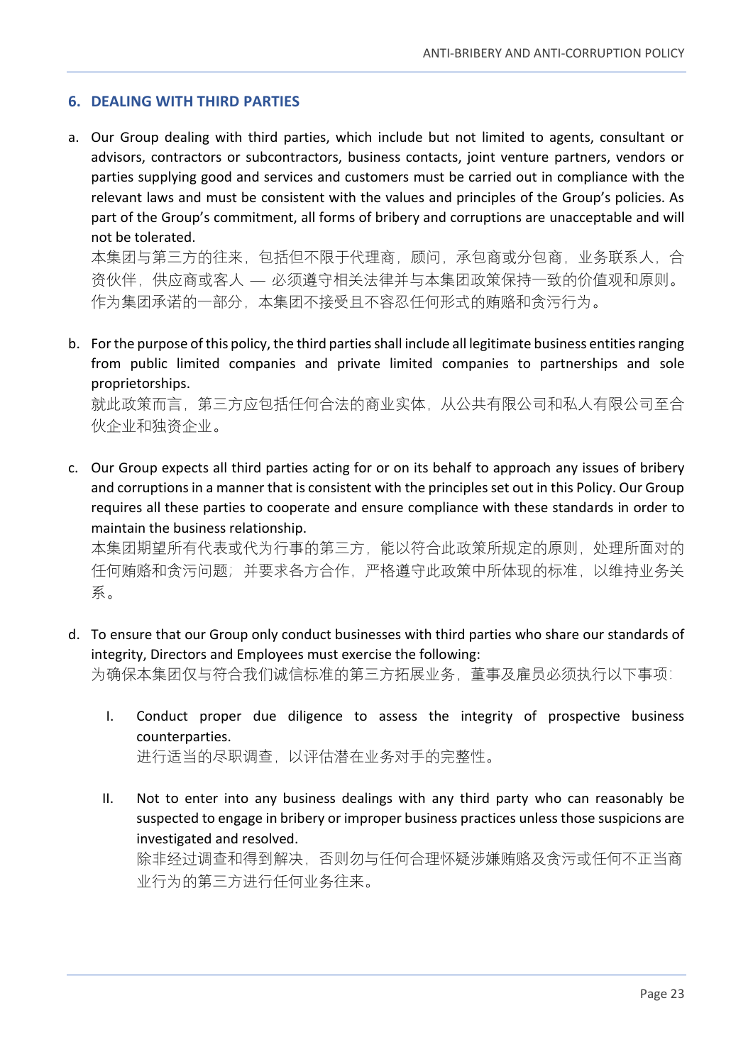#### <span id="page-22-0"></span>**6. DEALING WITH THIRD PARTIES**

a. Our Group dealing with third parties, which include but not limited to agents, consultant or advisors, contractors or subcontractors, business contacts, joint venture partners, vendors or parties supplying good and services and customers must be carried out in compliance with the relevant laws and must be consistent with the values and principles of the Group's policies. As part of the Group's commitment, all forms of bribery and corruptions are unacceptable and will not be tolerated.

本集团与第三方的往来,包括但不限于代理商,顾问,承包商或分包商,业务联系人,合 资伙伴,供应商或客人 — 必须遵守相关法律并与本集团政策保持一致的价值观和原则。 作为集团承诺的一部分,本集团不接受且不容忍任何形式的贿赂和贪污行为。

b. For the purpose of this policy, the third parties shall include all legitimate business entities ranging from public limited companies and private limited companies to partnerships and sole proprietorships.

就此政策而言,第三方应包括任何合法的商业实体,从公共有限公司和私人有限公司至合 伙企业和独资企业。

c. Our Group expects all third parties acting for or on its behalf to approach any issues of bribery and corruptions in a manner that is consistent with the principles set out in this Policy. Our Group requires all these parties to cooperate and ensure compliance with these standards in order to maintain the business relationship.

本集团期望所有代表或代为行事的第三方,能以符合此政策所规定的原则,处理所面对的 任何贿赂和贪污问题;并要求各方合作,严格遵守此政策中所体现的标准,以维持业务关 系。

- d. To ensure that our Group only conduct businesses with third parties who share our standards of integrity, Directors and Employees must exercise the following: 为确保本集团仅与符合我们诚信标准的第三方拓展业务,董事及雇员必须执行以下事项:
	- I. Conduct proper due diligence to assess the integrity of prospective business counterparties. 进行适当的尽职调查,以评估潜在业务对手的完整性。
	- II. Not to enter into any business dealings with any third party who can reasonably be suspected to engage in bribery or improper business practices unless those suspicions are investigated and resolved.

除非经过调查和得到解决,否则勿与任何合理怀疑涉嫌贿赂及贪污或任何不正当商 业行为的第三方进行任何业务往来。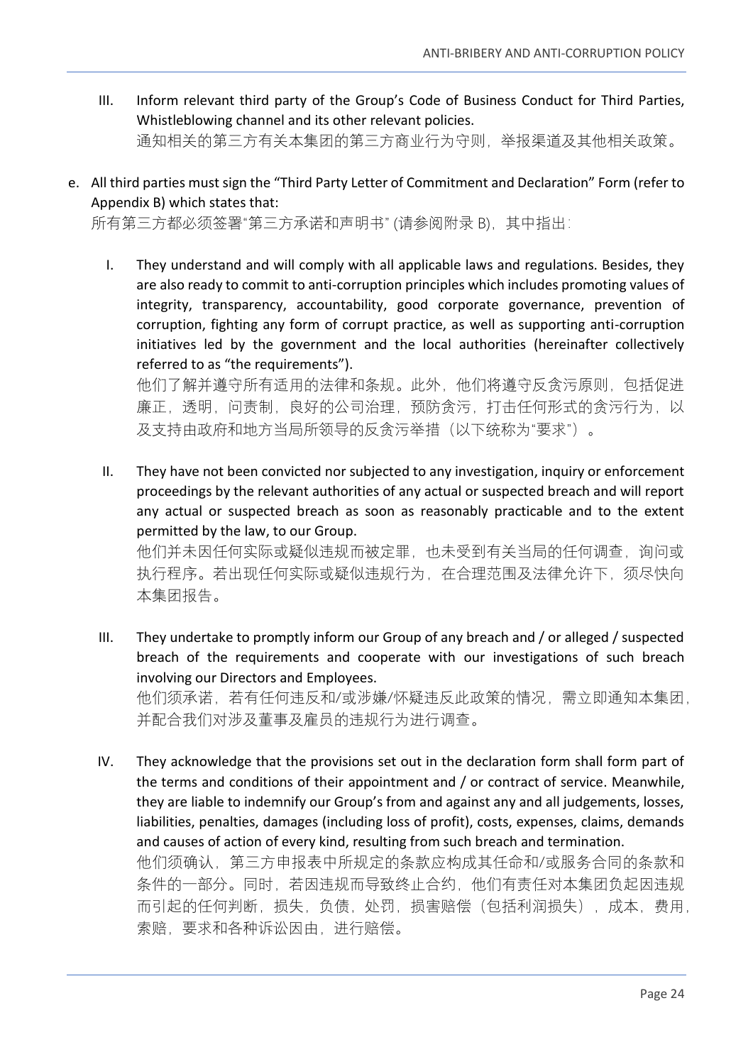- III. Inform relevant third party of the Group's Code of Business Conduct for Third Parties, Whistleblowing channel and its other relevant policies. 通知相关的第三方有关本集团的第三方商业行为守则,举报渠道及其他相关政策。
- e. All third parties must sign the "Third Party Letter of Commitment and Declaration" Form (refer to Appendix B) which states that:

所有第三方都必须签署"第三方承诺和声明书" (请参阅附录 B), 其中指出:

I. They understand and will comply with all applicable laws and regulations. Besides, they are also ready to commit to anti-corruption principles which includes promoting values of integrity, transparency, accountability, good corporate governance, prevention of corruption, fighting any form of corrupt practice, as well as supporting anti-corruption initiatives led by the government and the local authorities (hereinafter collectively referred to as "the requirements").

他们了解并遵守所有适用的法律和条规。此外,他们将遵守反贪污原则,包括促进 廉正,透明,问责制,良好的公司治理,预防贪污,打击任何形式的贪污行为,以 及支持由政府和地方当局所领导的反贪污举措(以下统称为"要求")。

II. They have not been convicted nor subjected to any investigation, inquiry or enforcement proceedings by the relevant authorities of any actual or suspected breach and will report any actual or suspected breach as soon as reasonably practicable and to the extent permitted by the law, to our Group.

他们并未因任何实际或疑似违规而被定罪,也未受到有关当局的任何调查,询问或 执行程序。若出现任何实际或疑似违规行为,在合理范围及法律允许下,须尽快向 本集团报告。

III. They undertake to promptly inform our Group of any breach and / or alleged / suspected breach of the requirements and cooperate with our investigations of such breach involving our Directors and Employees.

他们须承诺,若有任何违反和/或涉嫌/怀疑违反此政策的情况,需立即通知本集团, 并配合我们对涉及董事及雇员的违规行为进行调查。

IV. They acknowledge that the provisions set out in the declaration form shall form part of the terms and conditions of their appointment and / or contract of service. Meanwhile, they are liable to indemnify our Group's from and against any and all judgements, losses, liabilities, penalties, damages (including loss of profit), costs, expenses, claims, demands and causes of action of every kind, resulting from such breach and termination. 他们须确认,第三方申报表中所规定的条款应构成其任命和/或服务合同的条款和 条件的一部分。同时,若因违规而导致终止合约,他们有责任对本集团负起因违规 而引起的任何判断,损失,负债,处罚,损害赔偿(包括利润损失),成本,费用, 索赔,要求和各种诉讼因由,进行赔偿。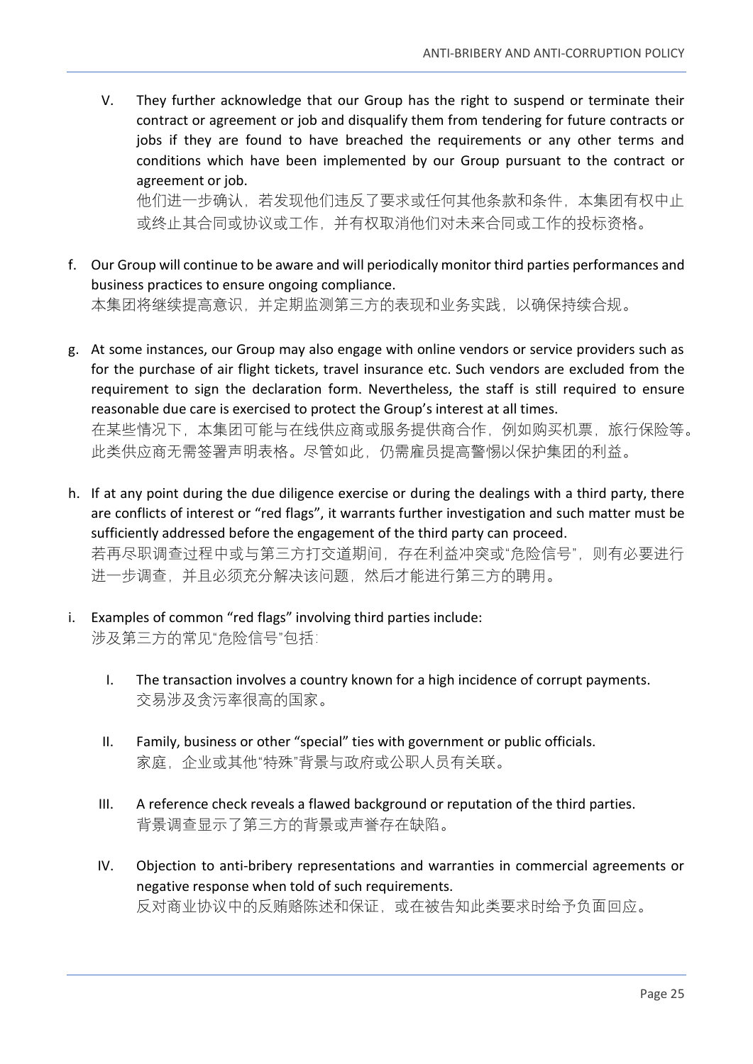V. They further acknowledge that our Group has the right to suspend or terminate their contract or agreement or job and disqualify them from tendering for future contracts or jobs if they are found to have breached the requirements or any other terms and conditions which have been implemented by our Group pursuant to the contract or agreement or job.

他们进一步确认,若发现他们违反了要求或任何其他条款和条件,本集团有权中止 或终止其合同或协议或工作,并有权取消他们对未来合同或工作的投标资格。

- f. Our Group will continue to be aware and will periodically monitor third parties performances and business practices to ensure ongoing compliance. 本集团将继续提高意识,并定期监测第三方的表现和业务实践,以确保持续合规。
- g. At some instances, our Group may also engage with online vendors or service providers such as for the purchase of air flight tickets, travel insurance etc. Such vendors are excluded from the requirement to sign the declaration form. Nevertheless, the staff is still required to ensure reasonable due care is exercised to protect the Group's interest at all times. 在某些情况下,本集团可能与在线供应商或服务提供商合作,例如购买机票,旅行保险等。 此类供应商无需签署声明表格。尽管如此,仍需雇员提高警惕以保护集团的利益。
- h. If at any point during the due diligence exercise or during the dealings with a third party, there are conflicts of interest or "red flags", it warrants further investigation and such matter must be sufficiently addressed before the engagement of the third party can proceed. 若再尽职调查过程中或与第三方打交道期间,存在利益冲突或"危险信号",则有必要进行 进一步调查,并且必须充分解决该问题,然后才能进行第三方的聘用。
- i. Examples of common "red flags" involving third parties include: 涉及第三方的常见"危险信号"包括:
	- I. The transaction involves a country known for a high incidence of corrupt payments. 交易涉及贪污率很高的国家。
	- II. Family, business or other "special" ties with government or public officials. 家庭,企业或其他"特殊"背景与政府或公职人员有关联。
	- III. A reference check reveals a flawed background or reputation of the third parties. 背景调查显示了第三方的背景或声誉存在缺陷。
	- IV. Objection to anti-bribery representations and warranties in commercial agreements or negative response when told of such requirements. 反对商业协议中的反贿赂陈述和保证,或在被告知此类要求时给予负面回应。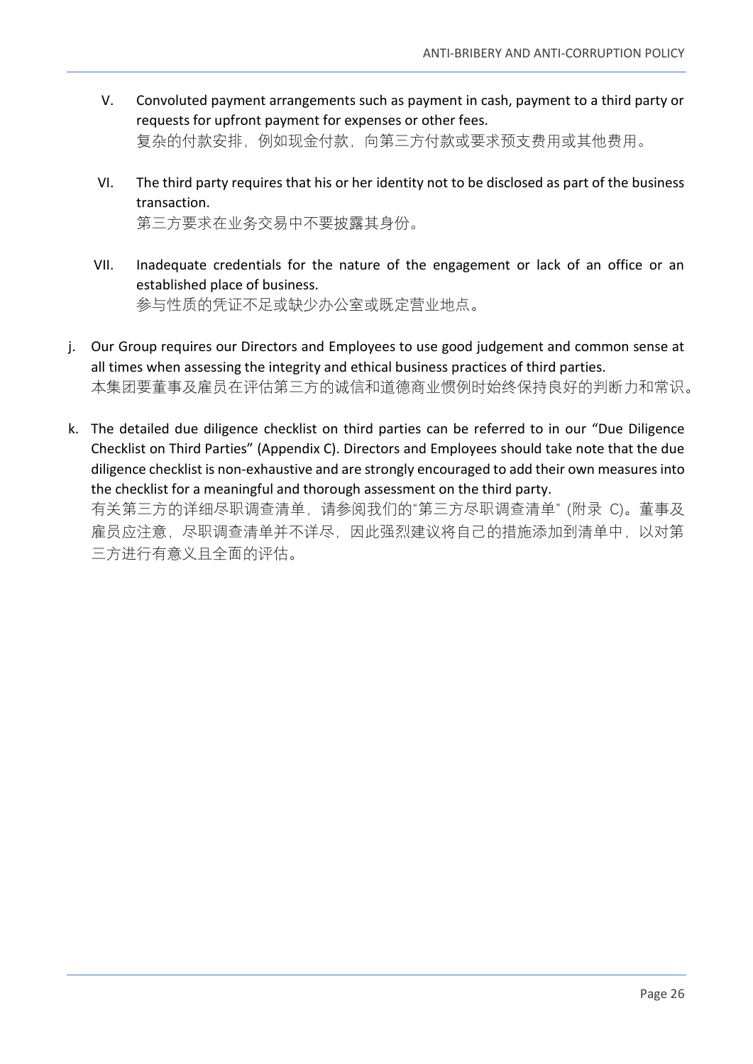- V. Convoluted payment arrangements such as payment in cash, payment to a third party or requests for upfront payment for expenses or other fees. 复杂的付款安排,例如现金付款,向第三方付款或要求预支费用或其他费用。
- VI. The third party requires that his or her identity not to be disclosed as part of the business transaction. 第三方要求在业务交易中不要披露其身份。
- VII. Inadequate credentials for the nature of the engagement or lack of an office or an established place of business. 参与性质的凭证不足或缺少办公室或既定营业地点。
- j. Our Group requires our Directors and Employees to use good judgement and common sense at all times when assessing the integrity and ethical business practices of third parties. 本集团要董事及雇员在评估第三方的诚信和道德商业惯例时始终保持良好的判断力和常识。
- k. The detailed due diligence checklist on third parties can be referred to in our "Due Diligence Checklist on Third Parties" (Appendix C). Directors and Employees should take note that the due diligence checklist is non-exhaustive and are strongly encouraged to add their own measures into the checklist for a meaningful and thorough assessment on the third party.

有关第三方的详细尽职调查清单,请参阅我们的"第三方尽职调查清单" (附录 C)。董事及 雇员应注意,尽职调查清单并不详尽,因此强烈建议将自己的措施添加到清单中,以对第 三方进行有意义且全面的评估。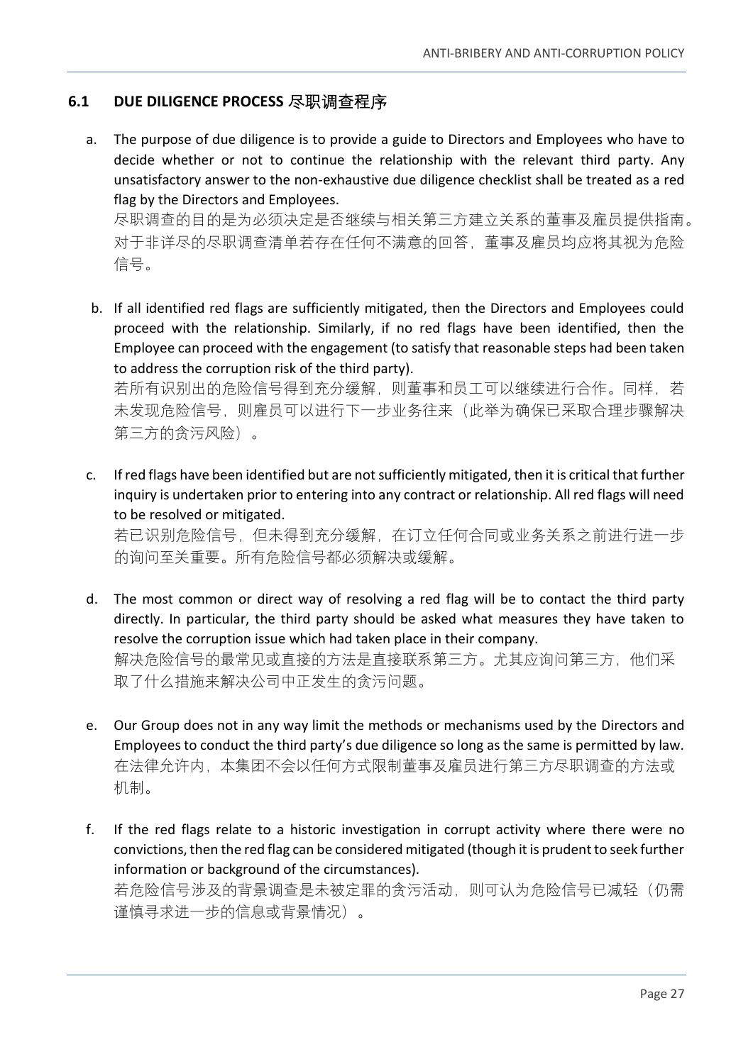## <span id="page-26-0"></span>**6.1 DUE DILIGENCE PROCESS** 尽职调查程序

a. The purpose of due diligence is to provide a guide to Directors and Employees who have to decide whether or not to continue the relationship with the relevant third party. Any unsatisfactory answer to the non-exhaustive due diligence checklist shall be treated as a red flag by the Directors and Employees.

尽职调查的目的是为必须决定是否继续与相关第三方建立关系的董事及雇员提供指南。 对于非详尽的尽职调查清单若存在任何不满意的回答,董事及雇员均应将其视为危险 信号。

b. If all identified red flags are sufficiently mitigated, then the Directors and Employees could proceed with the relationship. Similarly, if no red flags have been identified, then the Employee can proceed with the engagement (to satisfy that reasonable steps had been taken to address the corruption risk of the third party).

若所有识别出的危险信号得到充分缓解,则董事和员工可以继续进行合作。同样,若 未发现危险信号,则雇员可以进行下一步业务往来(此举为确保已采取合理步骤解决 第三方的贪污风险)。

c. If red flags have been identified but are not sufficiently mitigated, then it is critical that further inquiry is undertaken prior to entering into any contract or relationship. All red flags will need to be resolved or mitigated.

若已识别危险信号,但未得到充分缓解,在订立任何合同或业务关系之前进行进一步 的询问至关重要。所有危险信号都必须解决或缓解。

- d. The most common or direct way of resolving a red flag will be to contact the third party directly. In particular, the third party should be asked what measures they have taken to resolve the corruption issue which had taken place in their company. 解决危险信号的最常见或直接的方法是直接联系第三方。尤其应询问第三方,他们采 取了什么措施来解决公司中正发生的贪污问题。
- e. Our Group does not in any way limit the methods or mechanisms used by the Directors and Employees to conduct the third party's due diligence so long as the same is permitted by law. 在法律允许内,本集团不会以任何方式限制董事及雇员进行第三方尽职调查的方法或 机制。
- f. If the red flags relate to a historic investigation in corrupt activity where there were no convictions, then the red flag can be considered mitigated (though it is prudent to seek further information or background of the circumstances). 若危险信号涉及的背景调查是未被定罪的贪污活动,则可认为危险信号已减轻(仍需 谨慎寻求进一步的信息或背景情况)。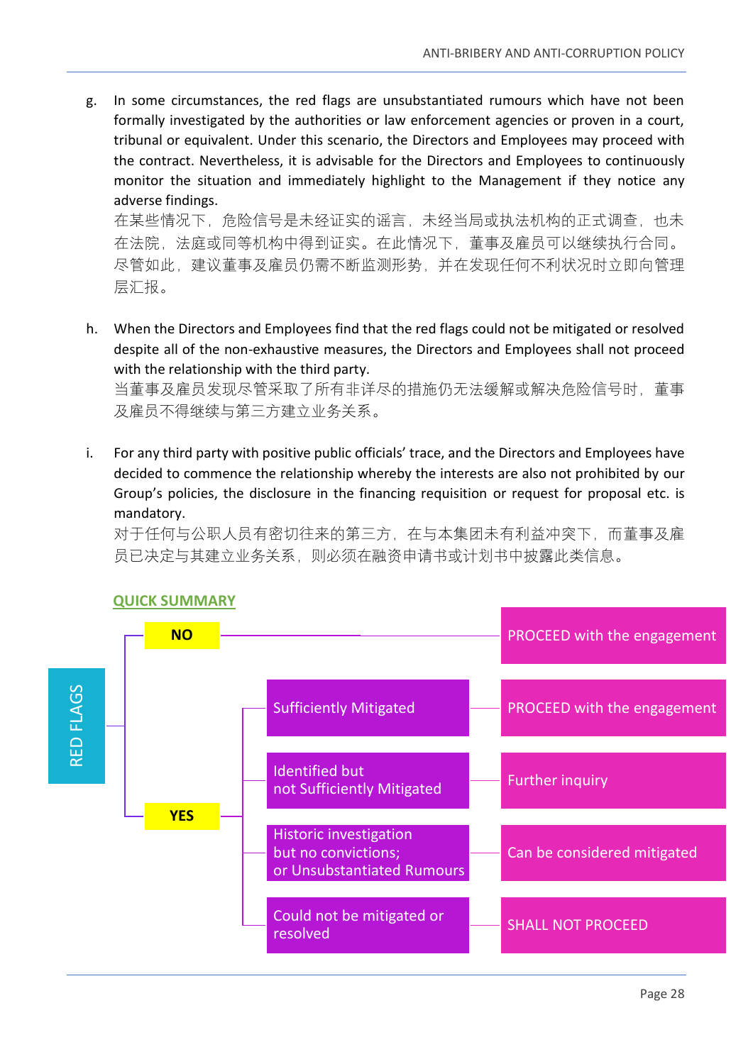g. In some circumstances, the red flags are unsubstantiated rumours which have not been formally investigated by the authorities or law enforcement agencies or proven in a court, tribunal or equivalent. Under this scenario, the Directors and Employees may proceed with the contract. Nevertheless, it is advisable for the Directors and Employees to continuously monitor the situation and immediately highlight to the Management if they notice any adverse findings.

在某些情况下,危险信号是未经证实的谣言,未经当局或执法机构的正式调查,也未 在法院,法庭或同等机构中得到证实。在此情况下,董事及雇员可以继续执行合同。 尽管如此,建议董事及雇员仍需不断监测形势,并在发现任何不利状况时立即向管理 层汇报。

h. When the Directors and Employees find that the red flags could not be mitigated or resolved despite all of the non-exhaustive measures, the Directors and Employees shall not proceed with the relationship with the third party.

当董事及雇员发现尽管采取了所有非详尽的措施仍无法缓解或解决危险信号时,董事 及雇员不得继续与第三方建立业务关系。

i. For any third party with positive public officials' trace, and the Directors and Employees have decided to commence the relationship whereby the interests are also not prohibited by our Group's policies, the disclosure in the financing requisition or request for proposal etc. is mandatory.

对于任何与公职人员有密切往来的第三方,在与本集团未有利益冲突下,而董事及雇 员已决定与其建立业务关系,则必须在融资申请书或计划书中披露此类信息。



# **QUICK SUMMARY**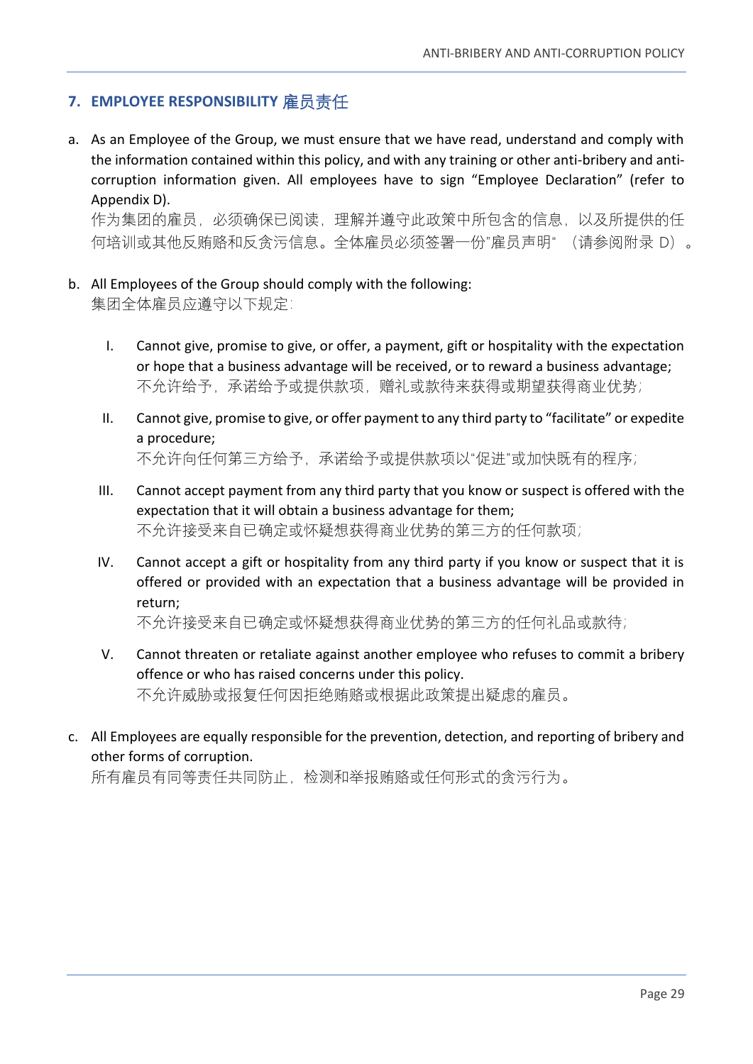## <span id="page-28-0"></span>**7. EMPLOYEE RESPONSIBILITY** 雇员责任

a. As an Employee of the Group, we must ensure that we have read, understand and comply with the information contained within this policy, and with any training or other anti-bribery and anticorruption information given. All employees have to sign "Employee Declaration" (refer to Appendix D).

作为集团的雇员,必须确保已阅读,理解并遵守此政策中所包含的信息,以及所提供的任 何培训或其他反贿赂和反贪污信息。全体雇员必须签署一份"雇员声明" (请参阅附录 D)。

- b. All Employees of the Group should comply with the following: 集团全体雇员应遵守以下规定:
	- I. Cannot give, promise to give, or offer, a payment, gift or hospitality with the expectation or hope that a business advantage will be received, or to reward a business advantage; 不允许给予,承诺给予或提供款项,赠礼或款待来获得或期望获得商业优势;
	- II. Cannot give, promise to give, or offer payment to any third party to "facilitate" or expedite a procedure; 不允许向任何第三方给予,承诺给予或提供款项以"促进"或加快既有的程序;
	- III. Cannot accept payment from any third party that you know or suspect is offered with the expectation that it will obtain a business advantage for them; 不允许接受来自已确定或怀疑想获得商业优势的第三方的任何款项;
	- IV. Cannot accept a gift or hospitality from any third party if you know or suspect that it is offered or provided with an expectation that a business advantage will be provided in return;

不允许接受来自已确定或怀疑想获得商业优势的第三方的任何礼品或款待;

- V. Cannot threaten or retaliate against another employee who refuses to commit a bribery offence or who has raised concerns under this policy. 不允许威胁或报复任何因拒绝贿赂或根据此政策提出疑虑的雇员。
- c. All Employees are equally responsible for the prevention, detection, and reporting of bribery and other forms of corruption.

所有雇员有同等责任共同防止,检测和举报贿赂或任何形式的贪污行为。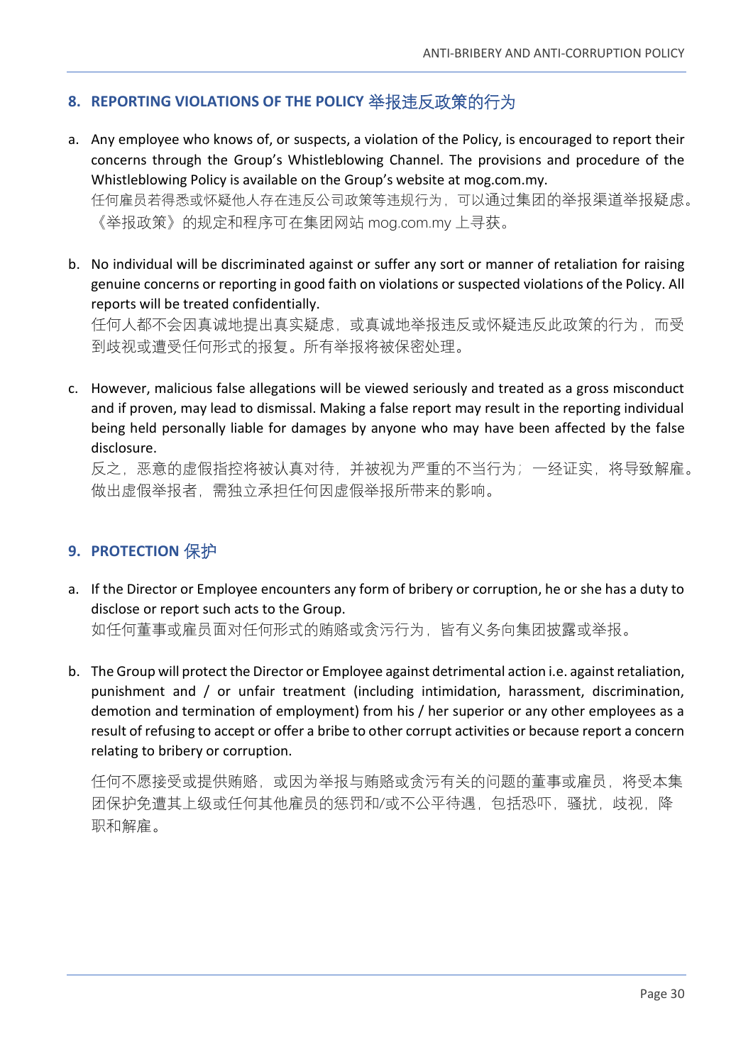# <span id="page-29-0"></span>**8. REPORTING VIOLATIONS OF THE POLICY** 举报违反政策的行为

a. Any employee who knows of, or suspects, a violation of the Policy, is encouraged to report their concerns through the Group's Whistleblowing Channel. The provisions and procedure of the Whistleblowing Policy is available on the Group's website at mog.com.my. 任何雇员若得悉或怀疑他人存在违反公司政策等违规行为,可以通过集团的举报渠道举报疑虑。

《举报政策》的规定和程序可在集团网站 mog.com.my 上寻获。

b. No individual will be discriminated against or suffer any sort or manner of retaliation for raising genuine concerns or reporting in good faith on violations or suspected violations of the Policy. All reports will be treated confidentially.

任何人都不会因真诚地提出真实疑虑,或真诚地举报违反或怀疑违反此政策的行为,而受 到歧视或遭受任何形式的报复。所有举报将被保密处理。

c. However, malicious false allegations will be viewed seriously and treated as a gross misconduct and if proven, may lead to dismissal. Making a false report may result in the reporting individual being held personally liable for damages by anyone who may have been affected by the false disclosure.

反之,恶意的虚假指控将被认真对待,并被视为严重的不当行为;一经证实,将导致解雇。 做出虚假举报者,需独立承担任何因虚假举报所带来的影响。

#### <span id="page-29-1"></span>**9. PROTECTION** 保护

a. If the Director or Employee encounters any form of bribery or corruption, he or she has a duty to disclose or report such acts to the Group.

如任何董事或雇员面对任何形式的贿赂或贪污行为,皆有义务向集团披露或举报。

b. The Group will protect the Director or Employee against detrimental action i.e. against retaliation, punishment and / or unfair treatment (including intimidation, harassment, discrimination, demotion and termination of employment) from his / her superior or any other employees as a result of refusing to accept or offer a bribe to other corrupt activities or because report a concern relating to bribery or corruption.

任何不愿接受或提供贿赂,或因为举报与贿赂或贪污有关的问题的董事或雇员,将受本集 团保护免遭其上级或任何其他雇员的惩罚和/或不公平待遇,包括恐吓,骚扰,歧视,降 职和解雇。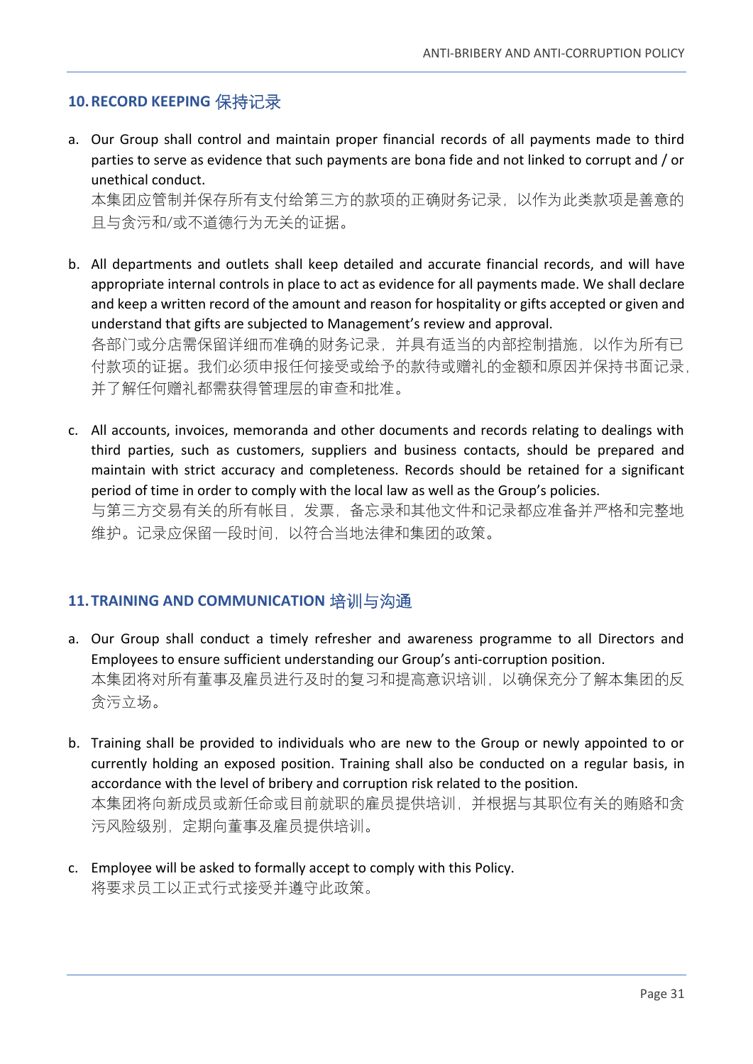## <span id="page-30-0"></span>**10.RECORD KEEPING** 保持记录

a. Our Group shall control and maintain proper financial records of all payments made to third parties to serve as evidence that such payments are bona fide and not linked to corrupt and / or unethical conduct.

本集团应管制并保存所有支付给第三方的款项的正确财务记录,以作为此类款项是善意的 且与贪污和/或不道德行为无关的证据。

b. All departments and outlets shall keep detailed and accurate financial records, and will have appropriate internal controls in place to act as evidence for all payments made. We shall declare and keep a written record of the amount and reason for hospitality or gifts accepted or given and understand that gifts are subjected to Management's review and approval. 各部门或分店需保留详细而准确的财务记录,并具有适当的内部控制措施,以作为所有已

付款项的证据。我们必须申报任何接受或给予的款待或赠礼的金额和原因并保持书面记录, 并了解任何赠礼都需获得管理层的审查和批准。

c. All accounts, invoices, memoranda and other documents and records relating to dealings with third parties, such as customers, suppliers and business contacts, should be prepared and maintain with strict accuracy and completeness. Records should be retained for a significant period of time in order to comply with the local law as well as the Group's policies. 与第三方交易有关的所有帐目,发票,备忘录和其他文件和记录都应准备并严格和完整地 维护。记录应保留一段时间,以符合当地法律和集团的政策。

#### <span id="page-30-1"></span>**11.TRAINING AND COMMUNICATION** 培训与沟通

- a. Our Group shall conduct a timely refresher and awareness programme to all Directors and Employees to ensure sufficient understanding our Group's anti-corruption position. 本集团将对所有董事及雇员进行及时的复习和提高意识培训,以确保充分了解本集团的反 贪污立场。
- b. Training shall be provided to individuals who are new to the Group or newly appointed to or currently holding an exposed position. Training shall also be conducted on a regular basis, in accordance with the level of bribery and corruption risk related to the position. 本集团将向新成员或新任命或目前就职的雇员提供培训,并根据与其职位有关的贿赂和贪 污风险级别,定期向董事及雇员提供培训。
- c. Employee will be asked to formally accept to comply with this Policy. 将要求员工以正式行式接受并遵守此政策。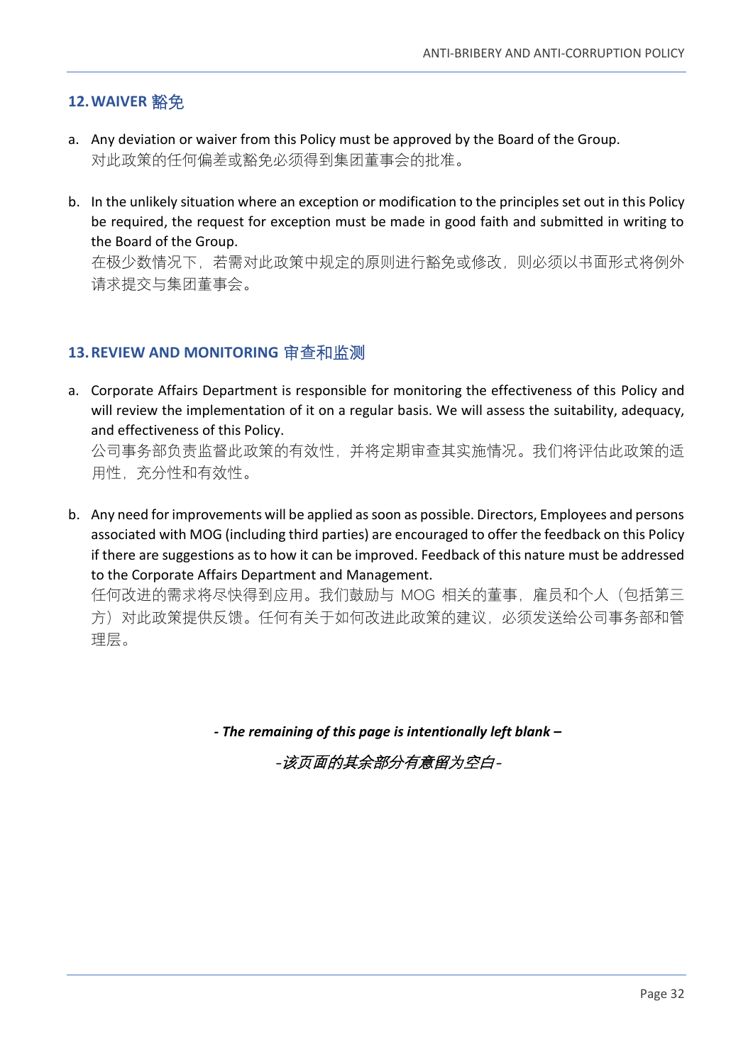## <span id="page-31-0"></span>**12.WAIVER** 豁免

- a. Any deviation or waiver from this Policy must be approved by the Board of the Group. 对此政策的任何偏差或豁免必须得到集团董事会的批准。
- b. In the unlikely situation where an exception or modification to the principles set out in this Policy be required, the request for exception must be made in good faith and submitted in writing to the Board of the Group.

在极少数情况下,若需对此政策中规定的原则进行豁免或修改,则必须以书面形式将例外 请求提交与集团董事会。

#### <span id="page-31-1"></span>**13.REVIEW AND MONITORING** 审查和监测

a. Corporate Affairs Department is responsible for monitoring the effectiveness of this Policy and will review the implementation of it on a regular basis. We will assess the suitability, adequacy, and effectiveness of this Policy.

公司事务部负责监督此政策的有效性,并将定期审查其实施情况。我们将评估此政策的适 用性,充分性和有效性。

b. Any need for improvements will be applied as soon as possible. Directors, Employees and persons associated with MOG (including third parties) are encouraged to offer the feedback on this Policy if there are suggestions as to how it can be improved. Feedback of this nature must be addressed to the Corporate Affairs Department and Management.

任何改进的需求将尽快得到应用。我们鼓励与 MOG 相关的董事, 雇员和个人 (包括第三 方)对此政策提供反馈。任何有关于如何改进此政策的建议, 必须发送给公司事务部和管 理层。

*- The remaining of this page is intentionally left blank –*

-该页面的其余部分有意留为空白-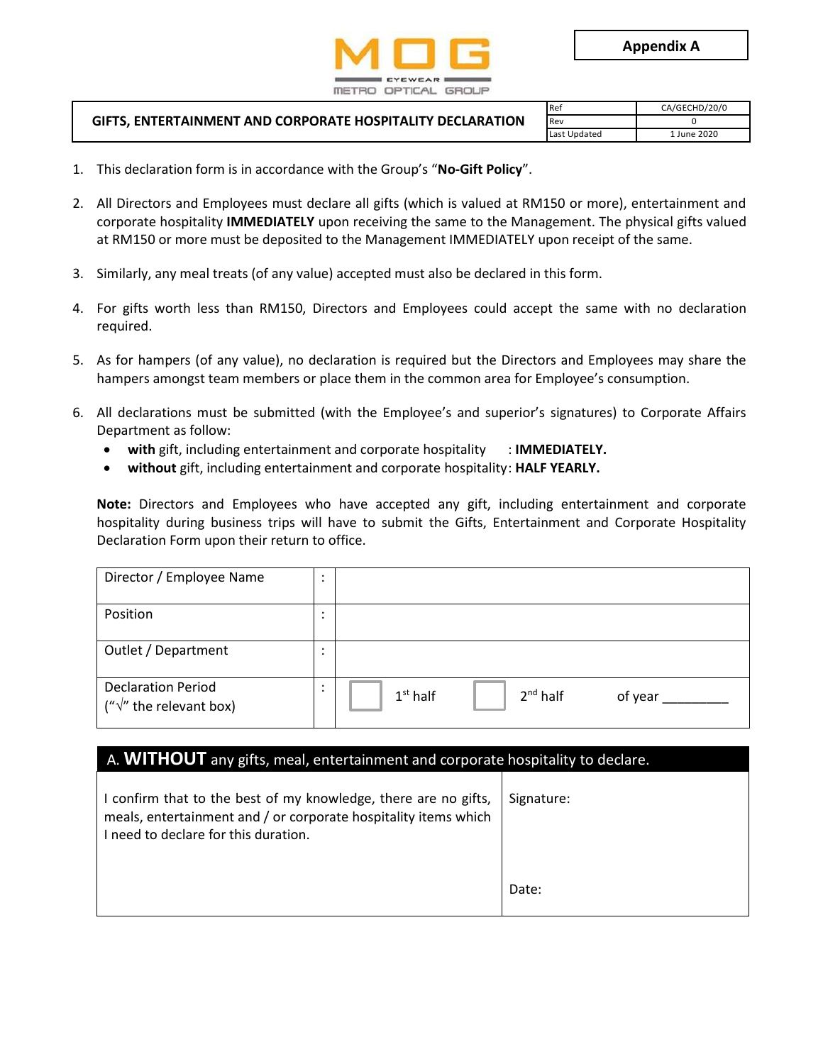

| <b>GIFTS. ENTERTAINMENT AND CORPORATE HOSPITALITY DECLARATION</b> | <b>Re</b>    | CA/GECHD/20/0 |
|-------------------------------------------------------------------|--------------|---------------|
|                                                                   | Rev          |               |
|                                                                   | Last Updated | . June 2020   |

- 1. This declaration form is in accordance with the Group's "**No-Gift Policy**".
- 2. All Directors and Employees must declare all gifts (which is valued at RM150 or more), entertainment and corporate hospitality **IMMEDIATELY** upon receiving the same to the Management. The physical gifts valued at RM150 or more must be deposited to the Management IMMEDIATELY upon receipt of the same.
- 3. Similarly, any meal treats (of any value) accepted must also be declared in this form.
- 4. For gifts worth less than RM150, Directors and Employees could accept the same with no declaration required.
- 5. As for hampers (of any value), no declaration is required but the Directors and Employees may share the hampers amongst team members or place them in the common area for Employee's consumption.
- 6. All declarations must be submitted (with the Employee's and superior's signatures) to Corporate Affairs Department as follow:
	- **with** gift, including entertainment and corporate hospitality : **IMMEDIATELY.**
	- **without** gift, including entertainment and corporate hospitality: **HALF YEARLY.**

**Note:** Directors and Employees who have accepted any gift, including entertainment and corporate hospitality during business trips will have to submit the Gifts, Entertainment and Corporate Hospitality Declaration Form upon their return to office.

| Director / Employee Name                                      | ٠      |                                        |
|---------------------------------------------------------------|--------|----------------------------------------|
| Position                                                      | ٠<br>٠ |                                        |
| Outlet / Department                                           | ٠<br>٠ |                                        |
| <b>Declaration Period</b><br>(" $\sqrt{''}$ the relevant box) | ٠      | $2^{nd}$ half<br>$1st$ half<br>of year |

#### A. **WITHOUT** any gifts, meal, entertainment and corporate hospitality to declare.

| I confirm that to the best of my knowledge, there are no gifts,<br>meals, entertainment and / or corporate hospitality items which<br>I need to declare for this duration. | Signature: |
|----------------------------------------------------------------------------------------------------------------------------------------------------------------------------|------------|
|                                                                                                                                                                            | Date:      |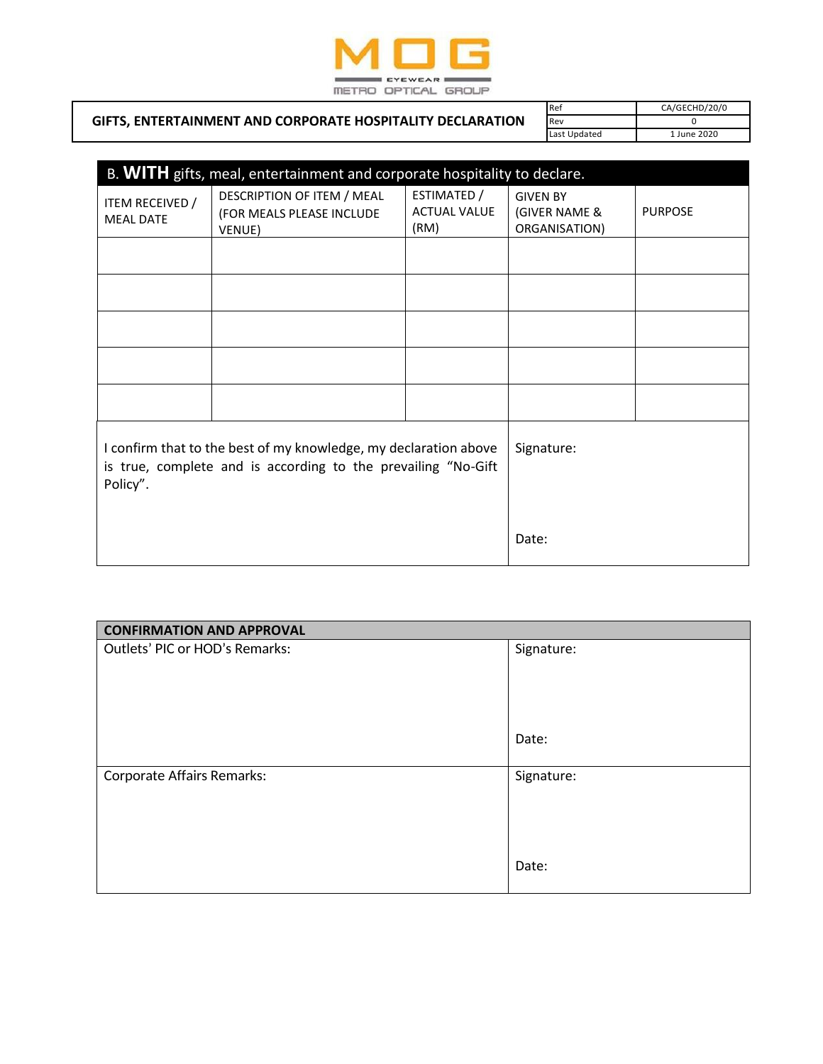

|                                                            | <b>Re</b>    | CA/GECHD/20/0 |
|------------------------------------------------------------|--------------|---------------|
| GIFTS, ENTERTAINMENT AND CORPORATE HOSPITALITY DECLARATION | Rev          |               |
|                                                            | Last Updated | June 2020     |

| B. WITH gifts, meal, entertainment and corporate hospitality to declare.                                                                      |                                                                   |                                            |                                                   |                |  |
|-----------------------------------------------------------------------------------------------------------------------------------------------|-------------------------------------------------------------------|--------------------------------------------|---------------------------------------------------|----------------|--|
| ITEM RECEIVED /<br><b>MEAL DATE</b>                                                                                                           | DESCRIPTION OF ITEM / MEAL<br>(FOR MEALS PLEASE INCLUDE<br>VENUE) | ESTIMATED /<br><b>ACTUAL VALUE</b><br>(RM) | <b>GIVEN BY</b><br>(GIVER NAME &<br>ORGANISATION) | <b>PURPOSE</b> |  |
|                                                                                                                                               |                                                                   |                                            |                                                   |                |  |
|                                                                                                                                               |                                                                   |                                            |                                                   |                |  |
|                                                                                                                                               |                                                                   |                                            |                                                   |                |  |
|                                                                                                                                               |                                                                   |                                            |                                                   |                |  |
|                                                                                                                                               |                                                                   |                                            |                                                   |                |  |
| I confirm that to the best of my knowledge, my declaration above<br>is true, complete and is according to the prevailing "No-Gift<br>Policy". |                                                                   |                                            | Signature:                                        |                |  |
|                                                                                                                                               |                                                                   |                                            | Date:                                             |                |  |

| <b>CONFIRMATION AND APPROVAL</b> |            |  |  |
|----------------------------------|------------|--|--|
| Outlets' PIC or HOD's Remarks:   | Signature: |  |  |
|                                  |            |  |  |
|                                  |            |  |  |
|                                  |            |  |  |
|                                  |            |  |  |
|                                  | Date:      |  |  |
|                                  |            |  |  |
| Corporate Affairs Remarks:       | Signature: |  |  |
|                                  |            |  |  |
|                                  |            |  |  |
|                                  |            |  |  |
|                                  | Date:      |  |  |
|                                  |            |  |  |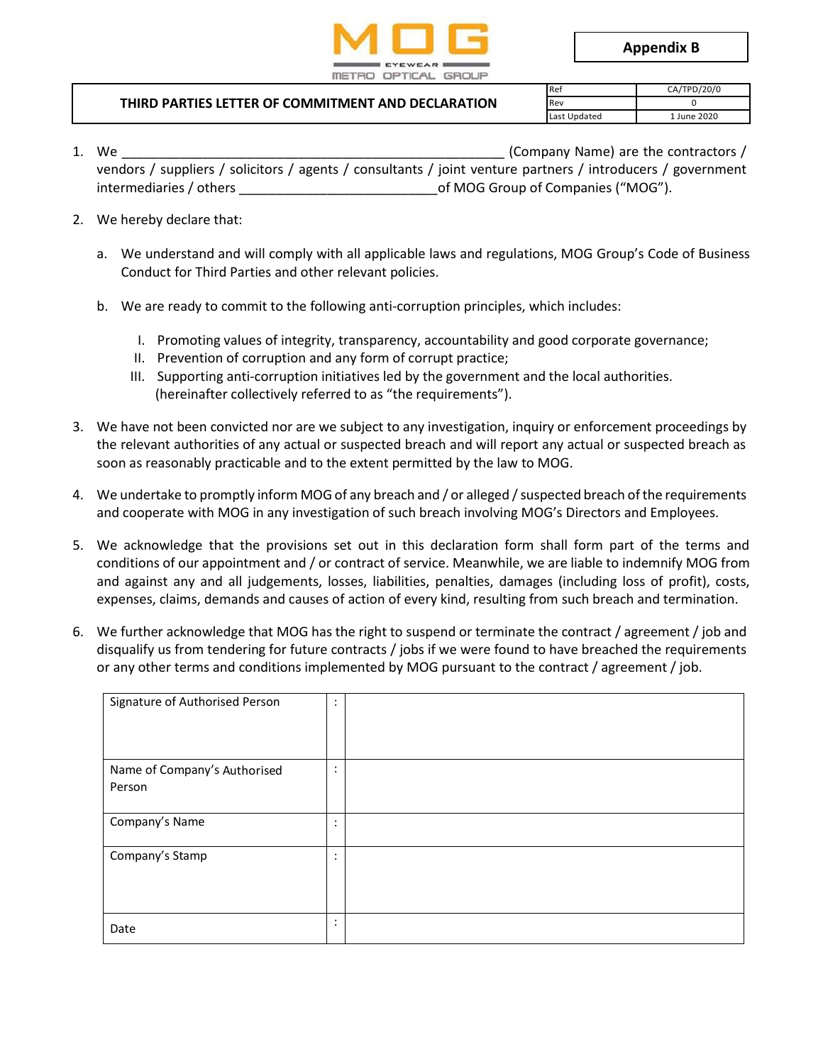

**Appendix B**

| THIRD PARTIES LETTER OF COMMITMENT AND DECLARATION | <b>I</b> Re  | CA/TPD/20/0 |  |
|----------------------------------------------------|--------------|-------------|--|
|                                                    | <b>Rev</b>   |             |  |
|                                                    | Last Updated | June 2020   |  |

- 1. We example the contractors  $/$ vendors / suppliers / solicitors / agents / consultants / joint venture partners / introducers / government intermediaries / others \_\_\_\_\_\_\_\_\_\_\_\_\_\_\_\_\_\_\_\_\_\_\_\_\_\_\_of MOG Group of Companies ("MOG").
- 2. We hereby declare that:
	- a. We understand and will comply with all applicable laws and regulations, MOG Group's Code of Business Conduct for Third Parties and other relevant policies.
	- b. We are ready to commit to the following anti-corruption principles, which includes:
		- I. Promoting values of integrity, transparency, accountability and good corporate governance;
		- II. Prevention of corruption and any form of corrupt practice;
		- III. Supporting anti-corruption initiatives led by the government and the local authorities. (hereinafter collectively referred to as "the requirements").
- 3. We have not been convicted nor are we subject to any investigation, inquiry or enforcement proceedings by the relevant authorities of any actual or suspected breach and will report any actual or suspected breach as soon as reasonably practicable and to the extent permitted by the law to MOG.
- 4. We undertake to promptly inform MOG of any breach and / or alleged / suspected breach of the requirements and cooperate with MOG in any investigation of such breach involving MOG's Directors and Employees.
- 5. We acknowledge that the provisions set out in this declaration form shall form part of the terms and conditions of our appointment and / or contract of service. Meanwhile, we are liable to indemnify MOG from and against any and all judgements, losses, liabilities, penalties, damages (including loss of profit), costs, expenses, claims, demands and causes of action of every kind, resulting from such breach and termination.
- 6. We further acknowledge that MOG has the right to suspend or terminate the contract / agreement / job and disqualify us from tendering for future contracts / jobs if we were found to have breached the requirements or any other terms and conditions implemented by MOG pursuant to the contract / agreement / job.

| Signature of Authorised Person         | ٠<br>$\bullet$ |  |
|----------------------------------------|----------------|--|
| Name of Company's Authorised<br>Person | ٠              |  |
| Company's Name                         |                |  |
| Company's Stamp                        | ٠              |  |
| Date                                   | ٠              |  |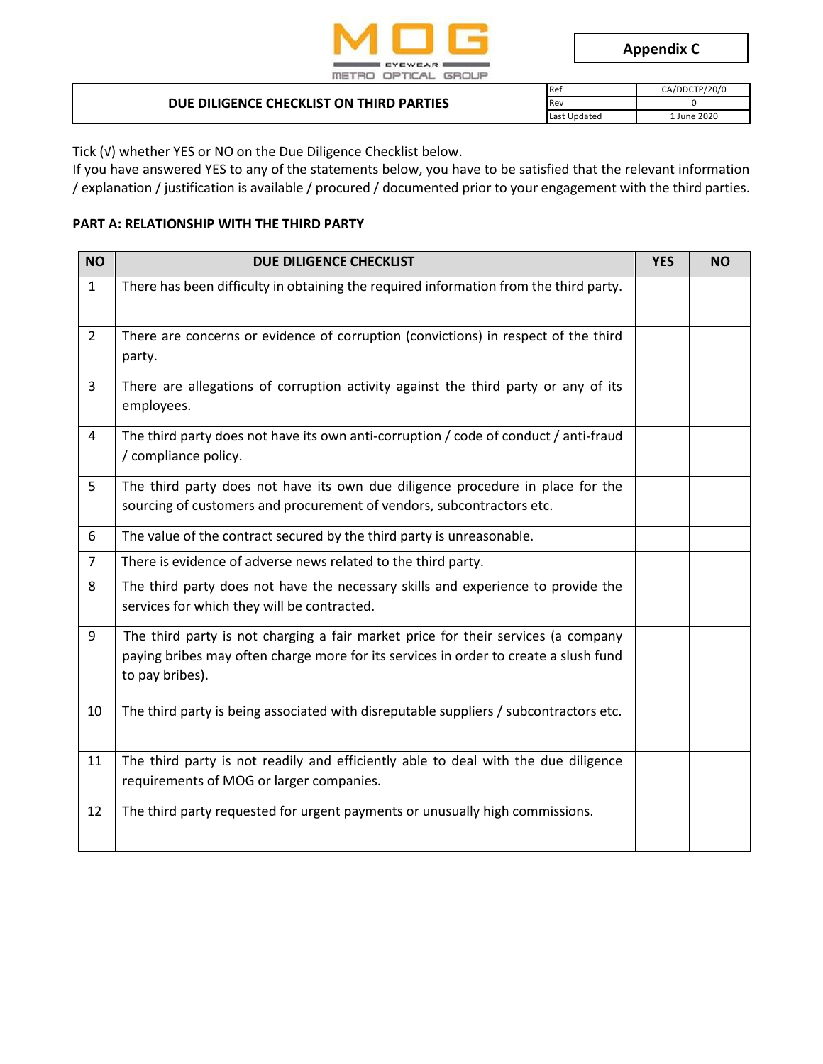

| DUE DILIGENCE CHECKLIST ON THIRD PARTIES | <b>Ref</b>   | CA/DDCTP/20/0 |  |  |
|------------------------------------------|--------------|---------------|--|--|
|                                          | Rev          |               |  |  |
|                                          | Last Updated | June 2020     |  |  |

Tick (√) whether YES or NO on the Due Diligence Checklist below.

If you have answered YES to any of the statements below, you have to be satisfied that the relevant information / explanation / justification is available / procured / documented prior to your engagement with the third parties.

#### **PART A: RELATIONSHIP WITH THE THIRD PARTY**

| <b>NO</b>      | DUE DILIGENCE CHECKLIST                                                                                                                                                                      | <b>YES</b> | <b>NO</b> |
|----------------|----------------------------------------------------------------------------------------------------------------------------------------------------------------------------------------------|------------|-----------|
| $\mathbf{1}$   | There has been difficulty in obtaining the required information from the third party.                                                                                                        |            |           |
| $\overline{2}$ | There are concerns or evidence of corruption (convictions) in respect of the third<br>party.                                                                                                 |            |           |
| $\overline{3}$ | There are allegations of corruption activity against the third party or any of its<br>employees.                                                                                             |            |           |
| 4              | The third party does not have its own anti-corruption / code of conduct / anti-fraud<br>/ compliance policy.                                                                                 |            |           |
| 5              | The third party does not have its own due diligence procedure in place for the<br>sourcing of customers and procurement of vendors, subcontractors etc.                                      |            |           |
| 6              | The value of the contract secured by the third party is unreasonable.                                                                                                                        |            |           |
| $\overline{7}$ | There is evidence of adverse news related to the third party.                                                                                                                                |            |           |
| 8              | The third party does not have the necessary skills and experience to provide the<br>services for which they will be contracted.                                                              |            |           |
| 9              | The third party is not charging a fair market price for their services (a company<br>paying bribes may often charge more for its services in order to create a slush fund<br>to pay bribes). |            |           |
| 10             | The third party is being associated with disreputable suppliers / subcontractors etc.                                                                                                        |            |           |
| 11             | The third party is not readily and efficiently able to deal with the due diligence<br>requirements of MOG or larger companies.                                                               |            |           |
| 12             | The third party requested for urgent payments or unusually high commissions.                                                                                                                 |            |           |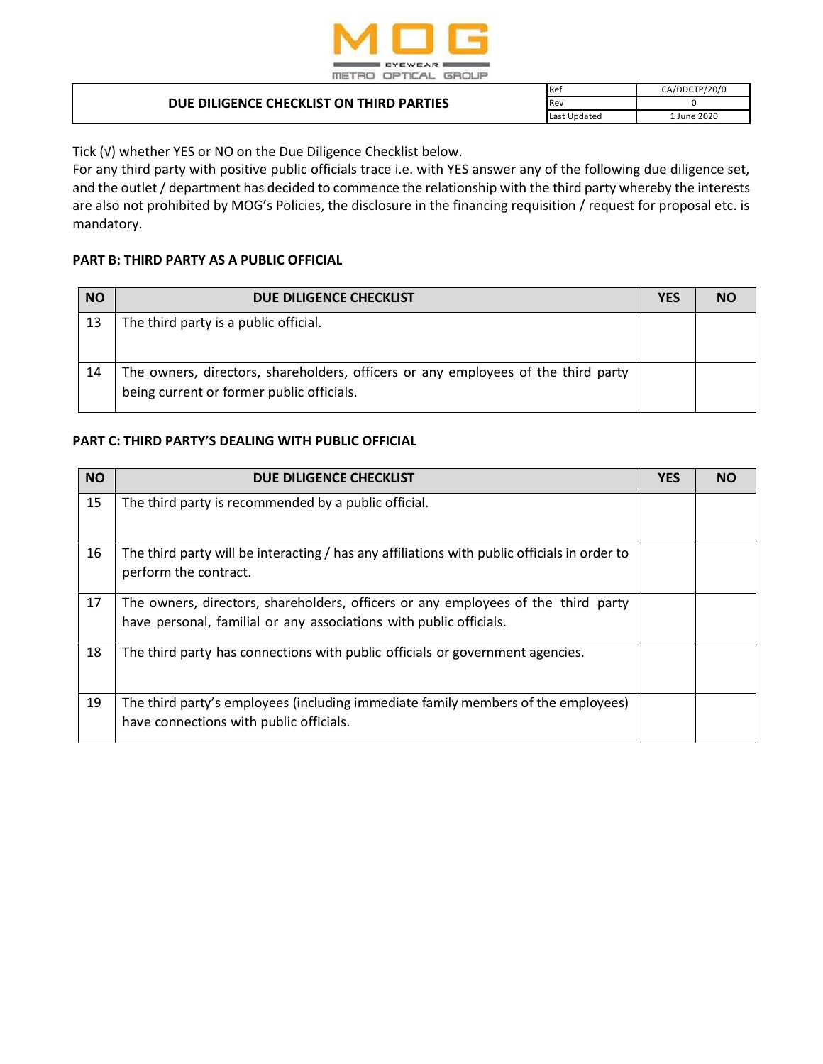

| DUE DILIGENCE CHECKLIST ON THIRD PARTIES | <b>Re</b>    | CA/DDCTP/20/0 |
|------------------------------------------|--------------|---------------|
|                                          | Rev          |               |
|                                          | Last Updated | 1 June 2020   |

Tick (√) whether YES or NO on the Due Diligence Checklist below.

For any third party with positive public officials trace i.e. with YES answer any of the following due diligence set, and the outlet / department has decided to commence the relationship with the third party whereby the interests are also not prohibited by MOG's Policies, the disclosure in the financing requisition / request for proposal etc. is mandatory.

#### **PART B: THIRD PARTY AS A PUBLIC OFFICIAL**

| <b>NO</b> | DUE DILIGENCE CHECKLIST                                                                                                        | <b>YES</b> | NΟ |
|-----------|--------------------------------------------------------------------------------------------------------------------------------|------------|----|
| 13        | The third party is a public official.                                                                                          |            |    |
| 14        | The owners, directors, shareholders, officers or any employees of the third party<br>being current or former public officials. |            |    |

#### **PART C: THIRD PARTY'S DEALING WITH PUBLIC OFFICIAL**

| <b>NO</b> | DUE DILIGENCE CHECKLIST                                                                                                                                 | <b>YES</b> | <b>NO</b> |
|-----------|---------------------------------------------------------------------------------------------------------------------------------------------------------|------------|-----------|
| 15        | The third party is recommended by a public official.                                                                                                    |            |           |
| 16        | The third party will be interacting / has any affiliations with public officials in order to<br>perform the contract.                                   |            |           |
| 17        | The owners, directors, shareholders, officers or any employees of the third party<br>have personal, familial or any associations with public officials. |            |           |
| 18        | The third party has connections with public officials or government agencies.                                                                           |            |           |
| 19        | The third party's employees (including immediate family members of the employees)<br>have connections with public officials.                            |            |           |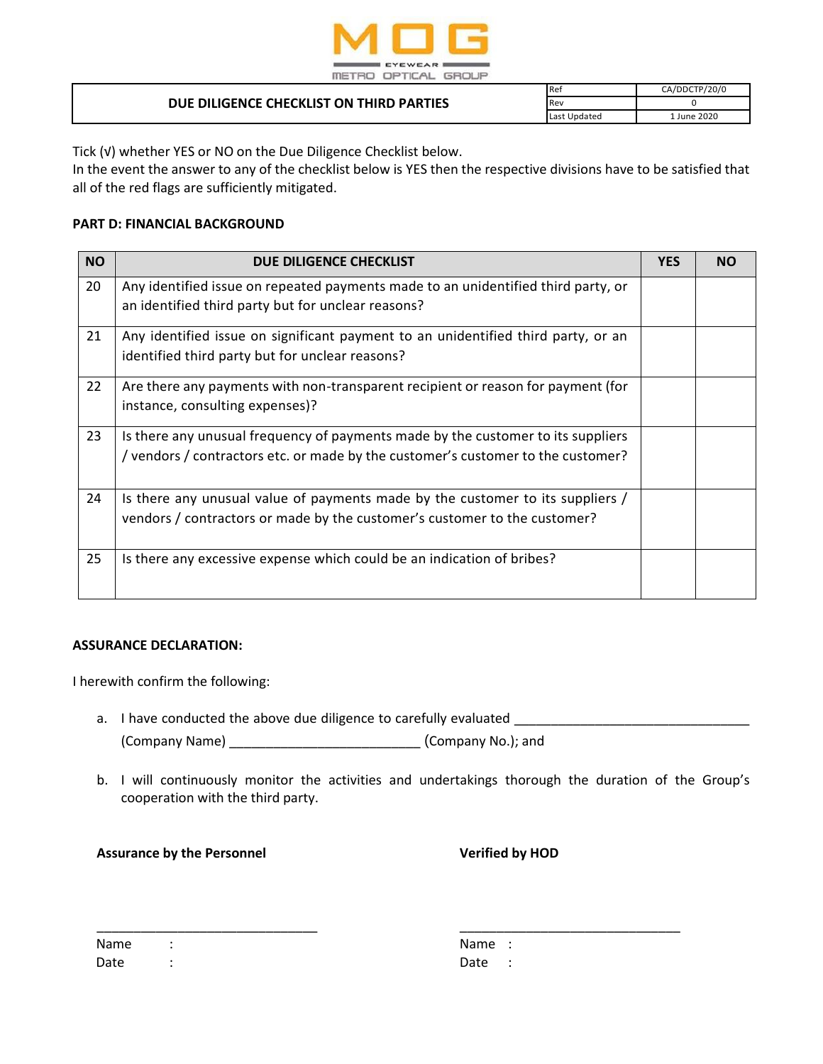

| DUE DILIGENCE CHECKLIST ON THIRD PARTIES | <b>Ref</b>   | CA/DDCTP/20/0 |
|------------------------------------------|--------------|---------------|
|                                          | Re١          |               |
|                                          | Last Updated | June 2020.    |

Tick (√) whether YES or NO on the Due Diligence Checklist below.

In the event the answer to any of the checklist below is YES then the respective divisions have to be satisfied that all of the red flags are sufficiently mitigated.

#### **PART D: FINANCIAL BACKGROUND**

| <b>NO</b> | DUE DILIGENCE CHECKLIST                                                                                                                                              | <b>YES</b> | <b>NO</b> |
|-----------|----------------------------------------------------------------------------------------------------------------------------------------------------------------------|------------|-----------|
| 20        | Any identified issue on repeated payments made to an unidentified third party, or<br>an identified third party but for unclear reasons?                              |            |           |
| 21        | Any identified issue on significant payment to an unidentified third party, or an<br>identified third party but for unclear reasons?                                 |            |           |
| 22        | Are there any payments with non-transparent recipient or reason for payment (for<br>instance, consulting expenses)?                                                  |            |           |
| 23        | Is there any unusual frequency of payments made by the customer to its suppliers<br>/ vendors / contractors etc. or made by the customer's customer to the customer? |            |           |
| 24        | Is there any unusual value of payments made by the customer to its suppliers /<br>vendors / contractors or made by the customer's customer to the customer?          |            |           |
| 25        | Is there any excessive expense which could be an indication of bribes?                                                                                               |            |           |

#### **ASSURANCE DECLARATION:**

I herewith confirm the following:

- a. I have conducted the above due diligence to carefully evaluated \_\_\_\_\_\_\_\_\_\_\_\_\_\_\_\_\_\_\_\_\_\_\_\_\_\_\_\_\_\_\_\_ (Company Name) \_\_\_\_\_\_\_\_\_\_\_\_\_\_\_\_\_\_\_\_\_\_\_\_\_\_ (Company No.); and
- b. I will continuously monitor the activities and undertakings thorough the duration of the Group's cooperation with the third party.

**Assurance by the Personnel Verified by HOD**

| Name | ٠ |  |
|------|---|--|
| Date | ٠ |  |

\_\_\_\_\_\_\_\_\_\_\_\_\_\_\_\_\_\_\_\_\_\_\_\_\_\_\_\_\_\_ \_\_\_\_\_\_\_\_\_\_\_\_\_\_\_\_\_\_\_\_\_\_\_\_\_\_\_\_\_\_ Name : Date :